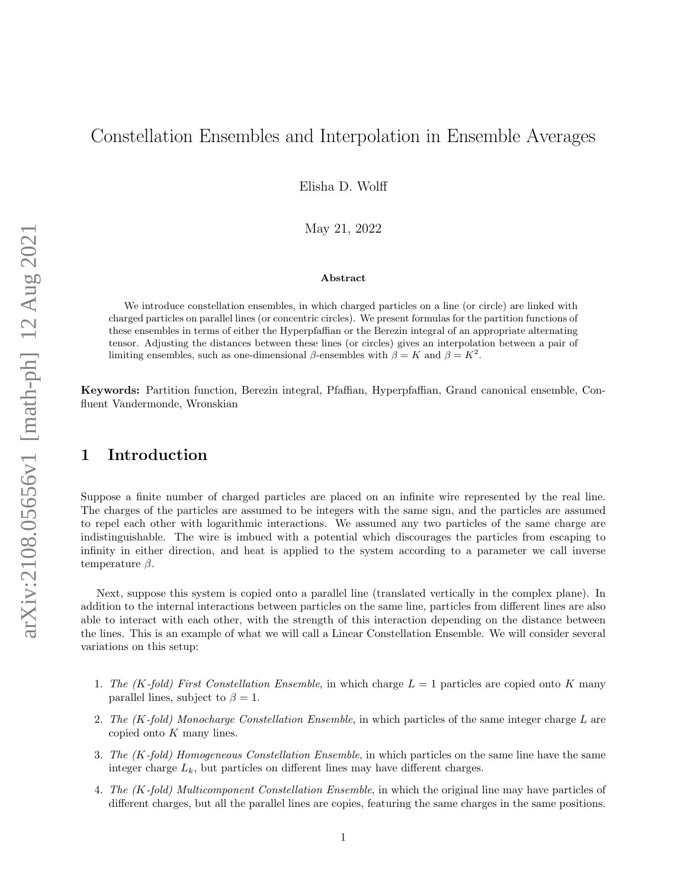# Constellation Ensembles and Interpolation in Ensemble Averages

Elisha D. Wolff

May 21, 2022

#### Abstract

We introduce constellation ensembles, in which charged particles on a line (or circle) are linked with charged particles on parallel lines (or concentric circles). We present formulas for the partition functions of these ensembles in terms of either the Hyperpfaffian or the Berezin integral of an appropriate alternating tensor. Adjusting the distances between these lines (or circles) gives an interpolation between a pair of limiting ensembles, such as one-dimensional  $\beta$ -ensembles with  $\beta = K$  and  $\beta = K^2$ .

Keywords: Partition function, Berezin integral, Pfaffian, Hyperpfaffian, Grand canonical ensemble, Confluent Vandermonde, Wronskian

## <span id="page-0-0"></span>1 Introduction

Suppose a finite number of charged particles are placed on an infinite wire represented by the real line. The charges of the particles are assumed to be integers with the same sign, and the particles are assumed to repel each other with logarithmic interactions. We assumed any two particles of the same charge are indistinguishable. The wire is imbued with a potential which discourages the particles from escaping to infinity in either direction, and heat is applied to the system according to a parameter we call inverse temperature  $\beta$ .

Next, suppose this system is copied onto a parallel line (translated vertically in the complex plane). In addition to the internal interactions between particles on the same line, particles from different lines are also able to interact with each other, with the strength of this interaction depending on the distance between the lines. This is an example of what we will call a Linear Constellation Ensemble. We will consider several variations on this setup:

- 1. The (K-fold) First Constellation Ensemble, in which charge  $L = 1$  particles are copied onto K many parallel lines, subject to  $\beta = 1$ .
- 2. The  $(K$ -fold) Monocharge Constellation Ensemble, in which particles of the same integer charge  $L$  are copied onto  $K$  many lines.
- 3. The (K-fold) Homogeneous Constellation Ensemble, in which particles on the same line have the same integer charge  $L_k$ , but particles on different lines may have different charges.
- 4. The (K-fold) Multicomponent Constellation Ensemble, in which the original line may have particles of different charges, but all the parallel lines are copies, featuring the same charges in the same positions.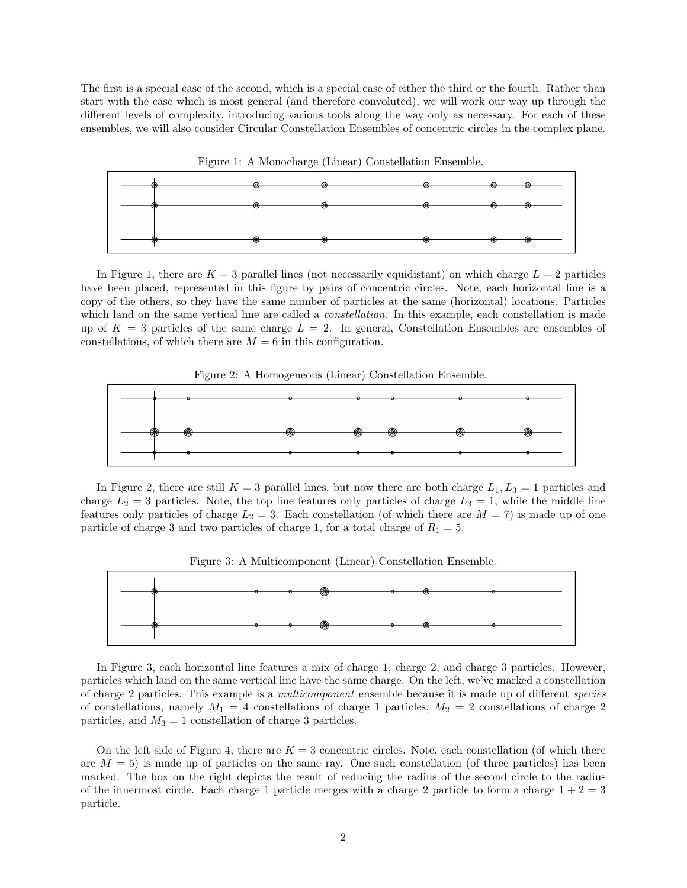The first is a special case of the second, which is a special case of either the third or the fourth. Rather than start with the case which is most general (and therefore convoluted), we will work our way up through the different levels of complexity, introducing various tools along the way only as necessary. For each of these ensembles, we will also consider Circular Constellation Ensembles of concentric circles in the complex plane.



In Figure 1, there are  $K = 3$  parallel lines (not necessarily equidistant) on which charge  $L = 2$  particles have been placed, represented in this figure by pairs of concentric circles. Note, each horizontal line is a copy of the others, so they have the same number of particles at the same (horizontal) locations. Particles which land on the same vertical line are called a *constellation*. In this example, each constellation is made up of  $K = 3$  particles of the same charge  $L = 2$ . In general, Constellation Ensembles are ensembles of constellations, of which there are  $M = 6$  in this configuration.





In Figure 2, there are still  $K = 3$  parallel lines, but now there are both charge  $L_1, L_3 = 1$  particles and charge  $L_2 = 3$  particles. Note, the top line features only particles of charge  $L_3 = 1$ , while the middle line features only particles of charge  $L_2 = 3$ . Each constellation (of which there are  $M = 7$ ) is made up of one particle of charge 3 and two particles of charge 1, for a total charge of  $R_1 = 5$ .



In Figure 3, each horizontal line features a mix of charge 1, charge 2, and charge 3 particles. However, particles which land on the same vertical line have the same charge. On the left, we've marked a constellation of charge 2 particles. This example is a multicomponent ensemble because it is made up of different species of constellations, namely  $M_1 = 4$  constellations of charge 1 particles,  $M_2 = 2$  constellations of charge 2 particles, and  $M_3 = 1$  constellation of charge 3 particles.

On the left side of Figure 4, there are  $K = 3$  concentric circles. Note, each constellation (of which there are  $M = 5$ ) is made up of particles on the same ray. One such constellation (of three particles) has been marked. The box on the right depicts the result of reducing the radius of the second circle to the radius of the innermost circle. Each charge 1 particle merges with a charge 2 particle to form a charge  $1 + 2 = 3$ particle.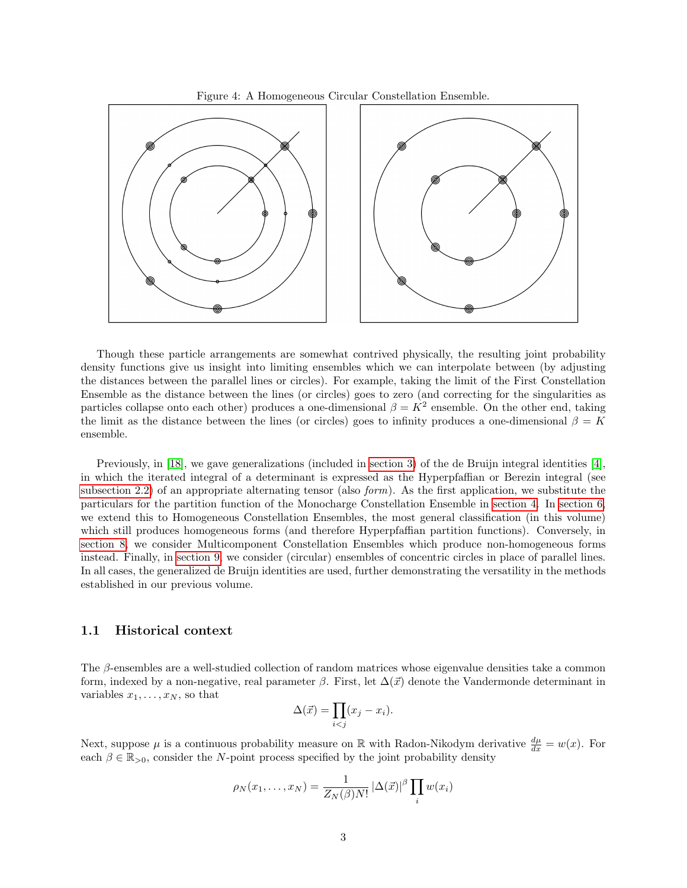



Though these particle arrangements are somewhat contrived physically, the resulting joint probability density functions give us insight into limiting ensembles which we can interpolate between (by adjusting the distances between the parallel lines or circles). For example, taking the limit of the First Constellation Ensemble as the distance between the lines (or circles) goes to zero (and correcting for the singularities as particles collapse onto each other) produces a one-dimensional  $\beta = K^2$  ensemble. On the other end, taking the limit as the distance between the lines (or circles) goes to infinity produces a one-dimensional  $\beta = K$ ensemble.

Previously, in [\[18\]](#page-27-0), we gave generalizations (included in [section 3\)](#page-8-0) of the de Bruijn integral identities [\[4\]](#page-26-0), in which the iterated integral of a determinant is expressed as the Hyperpfaffian or Berezin integral (see [subsection 2.2\)](#page-7-0) of an appropriate alternating tensor (also *form*). As the first application, we substitute the particulars for the partition function of the Monocharge Constellation Ensemble in [section 4.](#page-10-0) In [section 6,](#page-14-0) we extend this to Homogeneous Constellation Ensembles, the most general classification (in this volume) which still produces homogeneous forms (and therefore Hyperpfaffian partition functions). Conversely, in [section 8,](#page-17-0) we consider Multicomponent Constellation Ensembles which produce non-homogeneous forms instead. Finally, in [section 9,](#page-22-0) we consider (circular) ensembles of concentric circles in place of parallel lines. In all cases, the generalized de Bruijn identities are used, further demonstrating the versatility in the methods established in our previous volume.

### 1.1 Historical context

The β-ensembles are a well-studied collection of random matrices whose eigenvalue densities take a common form, indexed by a non-negative, real parameter  $\beta$ . First, let  $\Delta(\vec{x})$  denote the Vandermonde determinant in variables  $x_1, \ldots, x_N$ , so that

$$
\Delta(\vec{x}) = \prod_{i < j} (x_j - x_i).
$$

Next, suppose  $\mu$  is a continuous probability measure on  $\mathbb R$  with Radon-Nikodym derivative  $\frac{d\mu}{dx} = w(x)$ . For each  $\beta \in \mathbb{R}_{>0}$ , consider the N-point process specified by the joint probability density

$$
\rho_N(x_1,\ldots,x_N)=\frac{1}{Z_N(\beta)N!}\left|\Delta(\vec{x})\right|^\beta\prod_i w(x_i)
$$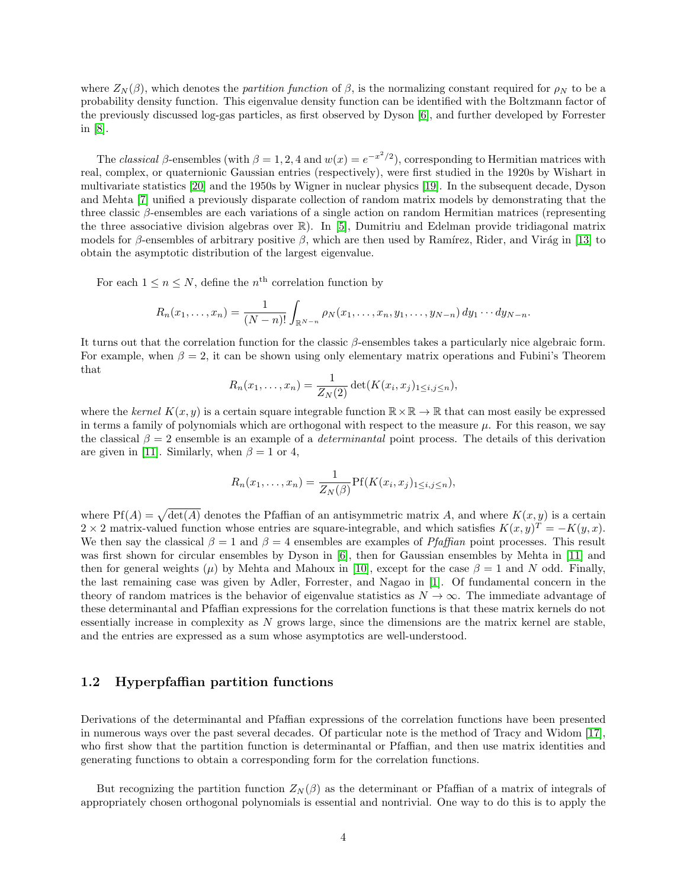where  $Z_N(\beta)$ , which denotes the partition function of  $\beta$ , is the normalizing constant required for  $\rho_N$  to be a probability density function. This eigenvalue density function can be identified with the Boltzmann factor of the previously discussed log-gas particles, as first observed by Dyson [\[6\]](#page-26-1), and further developed by Forrester in [\[8\]](#page-26-2).

The classical  $\beta$ -ensembles (with  $\beta = 1, 2, 4$  and  $w(x) = e^{-x^2/2}$ ), corresponding to Hermitian matrices with real, complex, or quaternionic Gaussian entries (respectively), were first studied in the 1920s by Wishart in multivariate statistics [\[20\]](#page-27-1) and the 1950s by Wigner in nuclear physics [\[19\]](#page-27-2). In the subsequent decade, Dyson and Mehta [\[7\]](#page-26-3) unified a previously disparate collection of random matrix models by demonstrating that the three classic β-ensembles are each variations of a single action on random Hermitian matrices (representing the three associative division algebras over R). In [\[5\]](#page-26-4), Dumitriu and Edelman provide tridiagonal matrix models for β-ensembles of arbitrary positive β, which are then used by Ramírez, Rider, and Virág in [\[13\]](#page-26-5) to obtain the asymptotic distribution of the largest eigenvalue.

For each  $1 \leq n \leq N$ , define the  $n^{\text{th}}$  correlation function by

$$
R_n(x_1,...,x_n) = \frac{1}{(N-n)!} \int_{\mathbb{R}^{N-n}} \rho_N(x_1,...,x_n,y_1,...,y_{N-n}) \, dy_1 \cdots dy_{N-n}.
$$

It turns out that the correlation function for the classic  $\beta$ -ensembles takes a particularly nice algebraic form. For example, when  $\beta = 2$ , it can be shown using only elementary matrix operations and Fubini's Theorem that

$$
R_n(x_1,...,x_n) = \frac{1}{Z_N(2)} \det(K(x_i,x_j)_{1 \leq i,j \leq n}),
$$

where the kernel  $K(x, y)$  is a certain square integrable function  $\mathbb{R} \times \mathbb{R} \to \mathbb{R}$  that can most easily be expressed in terms a family of polynomials which are orthogonal with respect to the measure  $\mu$ . For this reason, we say the classical  $\beta = 2$  ensemble is an example of a *determinantal* point process. The details of this derivation are given in [\[11\]](#page-26-6). Similarly, when  $\beta = 1$  or 4,

$$
R_n(x_1,\ldots,x_n)=\frac{1}{Z_N(\beta)}\text{Pf}(K(x_i,x_j)_{1\leq i,j\leq n}),
$$

where  $Pf(A) = \sqrt{\det(A)}$  denotes the Pfaffian of an antisymmetric matrix A, and where  $K(x, y)$  is a certain 2 × 2 matrix-valued function whose entries are square-integrable, and which satisfies  $K(x, y)^T = -K(y, x)$ . We then say the classical  $\beta = 1$  and  $\beta = 4$  ensembles are examples of *Pfaffian* point processes. This result was first shown for circular ensembles by Dyson in [\[6\]](#page-26-1), then for Gaussian ensembles by Mehta in [\[11\]](#page-26-6) and then for general weights ( $\mu$ ) by Mehta and Mahoux in [\[10\]](#page-26-7), except for the case  $\beta = 1$  and N odd. Finally, the last remaining case was given by Adler, Forrester, and Nagao in [\[1\]](#page-26-8). Of fundamental concern in the theory of random matrices is the behavior of eigenvalue statistics as  $N \to \infty$ . The immediate advantage of these determinantal and Pfaffian expressions for the correlation functions is that these matrix kernels do not essentially increase in complexity as N grows large, since the dimensions are the matrix kernel are stable, and the entries are expressed as a sum whose asymptotics are well-understood.

### <span id="page-3-0"></span>1.2 Hyperpfaffian partition functions

Derivations of the determinantal and Pfaffian expressions of the correlation functions have been presented in numerous ways over the past several decades. Of particular note is the method of Tracy and Widom [\[17\]](#page-27-3), who first show that the partition function is determinantal or Pfaffian, and then use matrix identities and generating functions to obtain a corresponding form for the correlation functions.

But recognizing the partition function  $Z_N(\beta)$  as the determinant or Pfaffian of a matrix of integrals of appropriately chosen orthogonal polynomials is essential and nontrivial. One way to do this is to apply the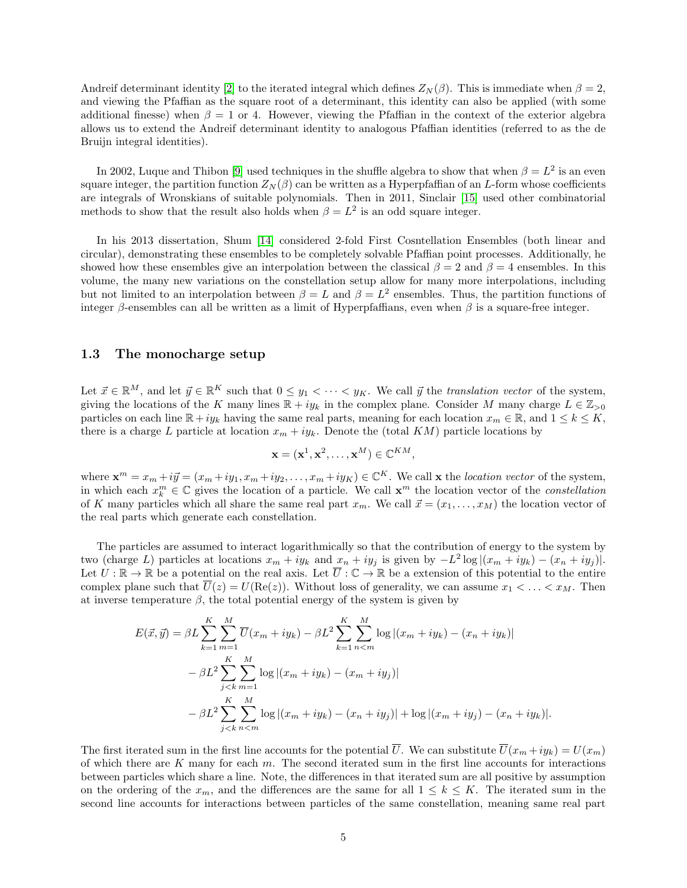Andreif determinant identity [\[2\]](#page-26-9) to the iterated integral which defines  $Z_N(\beta)$ . This is immediate when  $\beta = 2$ , and viewing the Pfaffian as the square root of a determinant, this identity can also be applied (with some additional finesse) when  $\beta = 1$  or 4. However, viewing the Pfaffian in the context of the exterior algebra allows us to extend the Andreif determinant identity to analogous Pfaffian identities (referred to as the de Bruijn integral identities).

In 2002, Luque and Thibon [\[9\]](#page-26-10) used techniques in the shuffle algebra to show that when  $\beta = L^2$  is an even square integer, the partition function  $Z_N(\beta)$  can be written as a Hyperpfaffian of an L-form whose coefficients are integrals of Wronskians of suitable polynomials. Then in 2011, Sinclair [\[15\]](#page-26-11) used other combinatorial methods to show that the result also holds when  $\beta = L^2$  is an odd square integer.

In his 2013 dissertation, Shum [\[14\]](#page-26-12) considered 2-fold First Cosntellation Ensembles (both linear and circular), demonstrating these ensembles to be completely solvable Pfaffian point processes. Additionally, he showed how these ensembles give an interpolation between the classical  $\beta = 2$  and  $\beta = 4$  ensembles. In this volume, the many new variations on the constellation setup allow for many more interpolations, including but not limited to an interpolation between  $\beta = L$  and  $\beta = L^2$  ensembles. Thus, the partition functions of integer β-ensembles can all be written as a limit of Hyperpfaffians, even when  $\beta$  is a square-free integer.

#### <span id="page-4-0"></span>1.3 The monocharge setup

Let  $\vec{x} \in \mathbb{R}^M$ , and let  $\vec{y} \in \mathbb{R}^K$  such that  $0 \leq y_1 < \cdots < y_K$ . We call  $\vec{y}$  the *translation vector* of the system, giving the locations of the K many lines  $\mathbb{R} + iy_k$  in the complex plane. Consider M many charge  $L \in \mathbb{Z}_{\geq 0}$ particles on each line  $\mathbb{R}+iy_k$  having the same real parts, meaning for each location  $x_m \in \mathbb{R}$ , and  $1 \leq k \leq K$ , there is a charge L particle at location  $x_m + iy_k$ . Denote the (total KM) particle locations by

$$
\mathbf{x} = (\mathbf{x}^1, \mathbf{x}^2, \dots, \mathbf{x}^M) \in \mathbb{C}^{KM},
$$

where  $\mathbf{x}^m = x_m + i\vec{y} = (x_m + iy_1, x_m + iy_2, \dots, x_m + iy_K) \in \mathbb{C}^K$ . We call  $\mathbf{x}$  the location vector of the system, in which each  $x_k^m \in \mathbb{C}$  gives the location of a particle. We call  $\mathbf{x}^m$  the location vector of the *constellation* of K many particles which all share the same real part  $x_m$ . We call  $\vec{x} = (x_1, \ldots, x_M)$  the location vector of the real parts which generate each constellation.

The particles are assumed to interact logarithmically so that the contribution of energy to the system by two (charge L) particles at locations  $x_m + iy_k$  and  $x_n + iy_j$  is given by  $-L^2 \log |(x_m + iy_k) - (x_n + iy_j)|$ . Let  $U: \mathbb{R} \to \mathbb{R}$  be a potential on the real axis. Let  $\overline{U}: \mathbb{C} \to \mathbb{R}$  be a extension of this potential to the entire complex plane such that  $\overline{U}(z) = U(\text{Re}(z))$ . Without loss of generality, we can assume  $x_1 < \ldots < x_M$ . Then at inverse temperature  $\beta$ , the total potential energy of the system is given by

$$
E(\vec{x}, \vec{y}) = \beta L \sum_{k=1}^{K} \sum_{m=1}^{M} \overline{U}(x_m + iy_k) - \beta L^2 \sum_{k=1}^{K} \sum_{n  

$$
- \beta L^2 \sum_{j  

$$
- \beta L^2 \sum_{j
$$
$$
$$

The first iterated sum in the first line accounts for the potential  $\overline{U}$ . We can substitute  $\overline{U}(x_m + iy_k) = U(x_m)$ of which there are  $K$  many for each  $m$ . The second iterated sum in the first line accounts for interactions between particles which share a line. Note, the differences in that iterated sum are all positive by assumption on the ordering of the  $x_m$ , and the differences are the same for all  $1 \leq k \leq K$ . The iterated sum in the second line accounts for interactions between particles of the same constellation, meaning same real part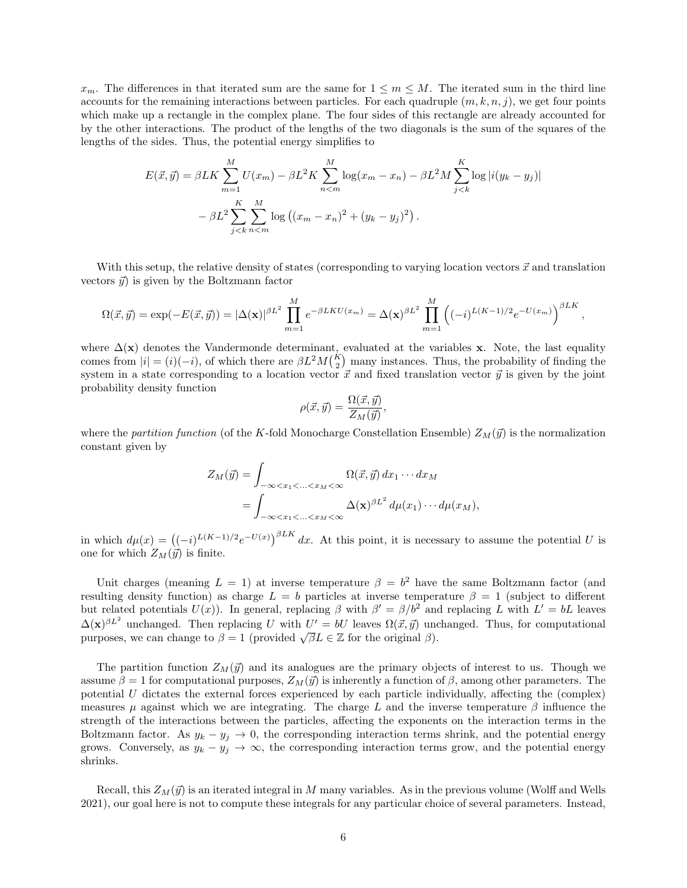$x_m$ . The differences in that iterated sum are the same for  $1 \leq m \leq M$ . The iterated sum in the third line accounts for the remaining interactions between particles. For each quadruple  $(m, k, n, j)$ , we get four points which make up a rectangle in the complex plane. The four sides of this rectangle are already accounted for by the other interactions. The product of the lengths of the two diagonals is the sum of the squares of the lengths of the sides. Thus, the potential energy simplifies to

$$
E(\vec{x}, \vec{y}) = \beta L K \sum_{m=1}^{M} U(x_m) - \beta L^2 K \sum_{n=m}^{M} \log(x_m - x_n) - \beta L^2 M \sum_{j < k}^{K} \log |i(y_k - y_j)|
$$

$$
- \beta L^2 \sum_{j < k}^{K} \sum_{n < m}^{M} \log ((x_m - x_n)^2 + (y_k - y_j)^2).
$$

With this setup, the relative density of states (corresponding to varying location vectors  $\vec{x}$  and translation vectors  $\vec{y}$  is given by the Boltzmann factor

$$
\Omega(\vec{x},\vec{y}) = \exp(-E(\vec{x},\vec{y})) = |\Delta(\mathbf{x})|^{\beta L^2} \prod_{m=1}^{M} e^{-\beta L K U(x_m)} = \Delta(\mathbf{x})^{\beta L^2} \prod_{m=1}^{M} \left( (-i)^{L(K-1)/2} e^{-U(x_m)} \right)^{\beta L K},
$$

where  $\Delta(\mathbf{x})$  denotes the Vandermonde determinant, evaluated at the variables x. Note, the last equality comes from  $|i| = (i)(-i)$ , of which there are  $\beta L^2 M(\frac{K}{2})$  many instances. Thus, the probability of finding the system in a state corresponding to a location vector  $\vec{x}$  and fixed translation vector  $\vec{y}$  is given by the joint probability density function

$$
\rho(\vec{x}, \vec{y}) = \frac{\Omega(\vec{x}, \vec{y})}{Z_M(\vec{y})},
$$

where the partition function (of the K-fold Monocharge Constellation Ensemble)  $Z_M(\vec{y})$  is the normalization constant given by

$$
Z_M(\vec{y}) = \int_{-\infty < x_1 < \ldots < x_M < \infty} \Omega(\vec{x}, \vec{y}) \, dx_1 \cdots dx_M
$$
\n
$$
= \int_{-\infty < x_1 < \ldots < x_M < \infty} \Delta(\mathbf{x})^{\beta L^2} \, d\mu(x_1) \cdots d\mu(x_M),
$$

in which  $d\mu(x) = ((-i)^{L(K-1)/2}e^{-U(x)})^{\beta L K} dx$ . At this point, it is necessary to assume the potential U is one for which  $Z_M(\vec{y})$  is finite.

Unit charges (meaning  $L = 1$ ) at inverse temperature  $\beta = b^2$  have the same Boltzmann factor (and resulting density function) as charge  $L = b$  particles at inverse temperature  $\beta = 1$  (subject to different but related potentials  $U(x)$ ). In general, replacing  $\beta$  with  $\beta' = \beta/b^2$  and replacing L with  $L' = bL$  leaves  $\Delta(\mathbf{x})^{\beta L^2}$  unchanged. Then replacing U with  $U' = bU$  leaves  $\Omega(\vec{x}, \vec{y})$  unchanged. Thus, for computational  $\Delta(x)$  unchanged. Then replacing  $U$  with  $U = \partial U$  leaves  $\Omega(x, y)$  unchange to  $\beta = 1$  (provided  $\sqrt{\beta}L \in \mathbb{Z}$  for the original  $\beta$ ).

The partition function  $Z_M(\vec{y})$  and its analogues are the primary objects of interest to us. Though we assume  $\beta = 1$  for computational purposes,  $Z_M(\vec{y})$  is inherently a function of  $\beta$ , among other parameters. The potential  $U$  dictates the external forces experienced by each particle individually, affecting the (complex) measures  $\mu$  against which we are integrating. The charge L and the inverse temperature  $\beta$  influence the strength of the interactions between the particles, affecting the exponents on the interaction terms in the Boltzmann factor. As  $y_k - y_j \to 0$ , the corresponding interaction terms shrink, and the potential energy grows. Conversely, as  $y_k - y_j \to \infty$ , the corresponding interaction terms grow, and the potential energy shrinks.

Recall, this  $Z_M(\vec{y})$  is an iterated integral in M many variables. As in the previous volume (Wolff and Wells 2021), our goal here is not to compute these integrals for any particular choice of several parameters. Instead,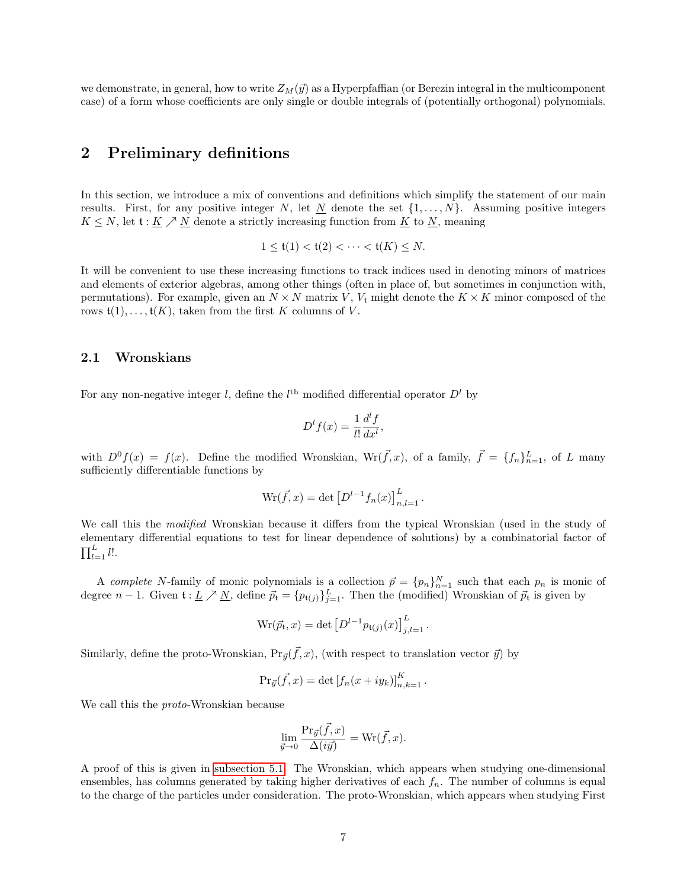we demonstrate, in general, how to write  $Z_M(\vec{y})$  as a Hyperpfaffian (or Berezin integral in the multicomponent case) of a form whose coefficients are only single or double integrals of (potentially orthogonal) polynomials.

## 2 Preliminary definitions

In this section, we introduce a mix of conventions and definitions which simplify the statement of our main results. First, for any positive integer N, let  $\underline{N}$  denote the set  $\{1, \ldots, N\}$ . Assuming positive integers  $K \leq N$ , let  $\mathfrak{t} : \underline{K} \nearrow \underline{N}$  denote a strictly increasing function from  $\underline{K}$  to  $\underline{N}$ , meaning

$$
1 \leq \mathfrak{t}(1) < \mathfrak{t}(2) < \cdots < \mathfrak{t}(K) \leq N.
$$

It will be convenient to use these increasing functions to track indices used in denoting minors of matrices and elements of exterior algebras, among other things (often in place of, but sometimes in conjunction with, permutations). For example, given an  $N \times N$  matrix V,  $V_t$  might denote the  $K \times K$  minor composed of the rows  $\mathfrak{t}(1), \ldots, \mathfrak{t}(K)$ , taken from the first K columns of V.

#### <span id="page-6-0"></span>2.1 Wronskians

For any non-negative integer l, define the  $l<sup>th</sup>$  modified differential operator  $D<sup>l</sup>$  by

$$
D^{l}f(x) = \frac{1}{l!} \frac{d^{l}f}{dx^{l}},
$$

with  $D^0 f(x) = f(x)$ . Define the modified Wronskian, Wr( $\vec{f}, x$ ), of a family,  $\vec{f} = \{f_n\}_{n=1}^L$ , of L many sufficiently differentiable functions by

$$
\text{Wr}(\vec{f}, x) = \det [D^{l-1} f_n(x)]_{n, l=1}^L.
$$

We call this the modified Wronskian because it differs from the typical Wronskian (used in the study of elementary differential equations to test for linear dependence of solutions) by a combinatorial factor of  $\prod_{l=1}^L l!$ .

A complete N-family of monic polynomials is a collection  $\vec{p} = \{p_n\}_{n=1}^N$  such that each  $p_n$  is monic of degree  $n-1$ . Given  $\mathfrak{t}: L \nearrow \underline{N}$ , define  $\vec{p}_{\mathfrak{t}} = \{p_{\mathfrak{t}(j)}\}_{j=1}^L$ . Then the (modified) Wronskian of  $\vec{p}_{\mathfrak{t}}$  is given by

$$
Wr(\vec{p_t}, x) = \det [D^{l-1}p_{t(j)}(x)]_{j,l=1}^{L}.
$$

Similarly, define the proto-Wronskian,  $Pr_{\vec{y}}(\vec{f},x)$ , (with respect to translation vector  $\vec{y}$ ) by

$$
\Pr_{\vec{y}}(\vec{f},x) = \det [f_n(x+iy_k)]_{n,k=1}^K.
$$

We call this the proto-Wronskian because

$$
\lim_{\vec{y}\to 0} \frac{\Pr_{\vec{y}}(\vec{f},x)}{\Delta(i\vec{y})} = \text{Wr}(\vec{f},x).
$$

A proof of this is given in [subsection 5.1.](#page-12-0) The Wronskian, which appears when studying one-dimensional ensembles, has columns generated by taking higher derivatives of each  $f_n$ . The number of columns is equal to the charge of the particles under consideration. The proto-Wronskian, which appears when studying First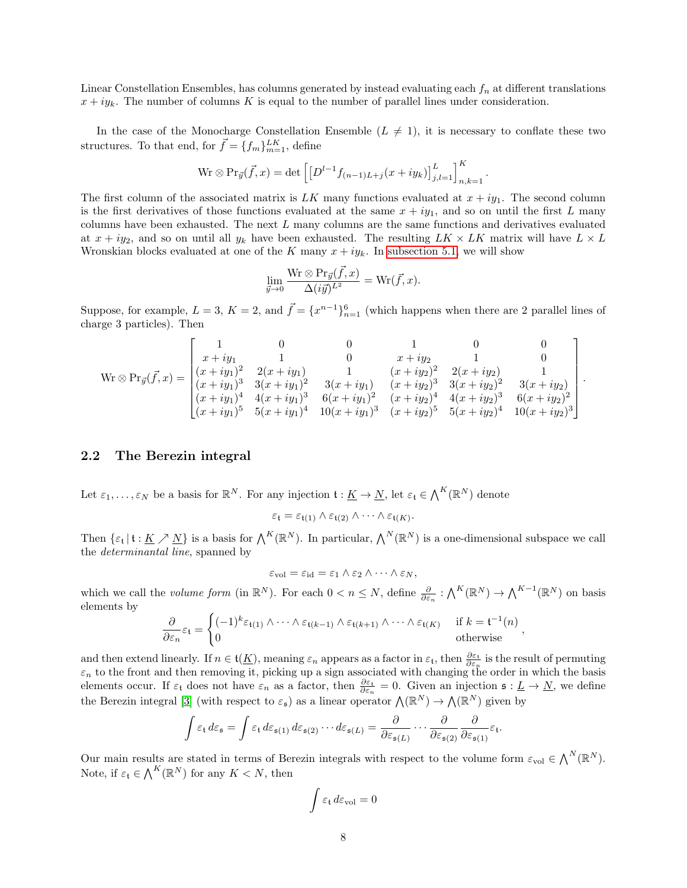Linear Constellation Ensembles, has columns generated by instead evaluating each  $f_n$  at different translations  $x + iy_k$ . The number of columns K is equal to the number of parallel lines under consideration.

In the case of the Monocharge Constellation Ensemble  $(L \neq 1)$ , it is necessary to conflate these two structures. To that end, for  $\vec{f} = \{f_m\}_{m=1}^{LK}$ , define

$$
\text{Wr} \otimes \Pr_{\vec{y}}(\vec{f}, x) = \det \left[ \left[ D^{l-1} f_{(n-1)L+j}(x + iy_k) \right]_{j,l=1}^L \right]_{n,k=1}^K.
$$

The first column of the associated matrix is LK many functions evaluated at  $x + iy_1$ . The second column is the first derivatives of those functions evaluated at the same  $x + iy_1$ , and so on until the first L many columns have been exhausted. The next L many columns are the same functions and derivatives evaluated at  $x + iy_2$ , and so on until all  $y_k$  have been exhausted. The resulting  $LK \times LK$  matrix will have  $L \times L$ Wronskian blocks evaluated at one of the K many  $x + iy_k$ . In [subsection 5.1,](#page-12-0) we will show

$$
\lim_{\vec{y}\to 0}\frac{\operatorname{Wr}\otimes\operatorname{Pr}_{\vec{y}}(\vec{f},x)}{\Delta(i\vec{y})^{L^2}}=\operatorname{Wr}(\vec{f},x).
$$

Suppose, for example,  $L = 3$ ,  $K = 2$ , and  $\vec{f} = \{x^{n-1}\}_{n=1}^6$  (which happens when there are 2 parallel lines of charge 3 particles). Then

$$
\text{Wr} \otimes \text{Pr}_{\vec{y}}(\vec{f},x) = \begin{bmatrix} 1 & 0 & 0 & 1 & 0 & 0 \\ x+iy_1 & 1 & 0 & x+iy_2 & 1 & 0 \\ (x+iy_1)^2 & 2(x+iy_1) & 1 & (x+iy_2)^2 & 2(x+iy_2) & 1 \\ (x+iy_1)^3 & 3(x+iy_1)^2 & 3(x+iy_1) & (x+iy_2)^3 & 3(x+iy_2)^2 & 3(x+iy_2) \\ (x+iy_1)^4 & 4(x+iy_1)^3 & 6(x+iy_1)^2 & (x+iy_2)^4 & 4(x+iy_2)^3 & 6(x+iy_2)^2 \\ (x+iy_1)^5 & 5(x+iy_1)^4 & 10(x+iy_1)^3 & (x+iy_2)^5 & 5(x+iy_2)^4 & 10(x+iy_2)^3 \end{bmatrix}.
$$

#### <span id="page-7-0"></span>2.2 The Berezin integral

Let  $\varepsilon_1,\ldots,\varepsilon_N$  be a basis for  $\mathbb{R}^N$ . For any injection  $\mathfrak{t}: \underline{K} \to \underline{N}$ , let  $\varepsilon_\mathfrak{t} \in \bigwedge^K (\mathbb{R}^N)$  denote

$$
\varepsilon_{\mathfrak{t}} = \varepsilon_{\mathfrak{t}(1)} \wedge \varepsilon_{\mathfrak{t}(2)} \wedge \cdots \wedge \varepsilon_{\mathfrak{t}(K)}.
$$

Then  $\{\varepsilon_\mathfrak{t} \mid \mathfrak{t} : \underline{K} \nearrow \underline{N}\}$  is a basis for  $\bigwedge^K(\mathbb{R}^N)$ . In particular,  $\bigwedge^N(\mathbb{R}^N)$  is a one-dimensional subspace we call the determinantal line, spanned by

$$
\varepsilon_{\text{vol}} = \varepsilon_{\text{id}} = \varepsilon_1 \wedge \varepsilon_2 \wedge \cdots \wedge \varepsilon_N,
$$

which we call the *volume form* (in  $\mathbb{R}^N$ ). For each  $0 < n \leq N$ , define  $\frac{\partial}{\partial \varepsilon_n} : \bigwedge^K (\mathbb{R}^N) \to \bigwedge^{K-1} (\mathbb{R}^N)$  on basis elements by

$$
\frac{\partial}{\partial \varepsilon_n} \varepsilon_{\mathfrak{t}} = \begin{cases}\n(-1)^k \varepsilon_{\mathfrak{t}(1)} \wedge \cdots \wedge \varepsilon_{\mathfrak{t}(k-1)} \wedge \varepsilon_{\mathfrak{t}(k+1)} \wedge \cdots \wedge \varepsilon_{\mathfrak{t}(K)} & \text{if } k = \mathfrak{t}^{-1}(n) \\
0 & \text{otherwise}\n\end{cases}
$$

,

.

and then extend linearly. If  $n \in \mathfrak{t}(\underline{K})$ , meaning  $\varepsilon_n$  appears as a factor in  $\varepsilon_t$ , then  $\frac{\partial \varepsilon_t}{\partial \varepsilon_n}$  is the result of permuting  $\varepsilon_n$  to the front and then removing it, picking up a sign associated with changing the order in which the basis elements occur. If  $\varepsilon_t$  does not have  $\varepsilon_n$  as a factor, then  $\frac{\partial \varepsilon_t}{\partial \varepsilon_n} = 0$ . Given an injection  $\mathfrak{s} : \underline{L} \to \underline{N}$ , we define the Berezin integral [\[3\]](#page-26-13) (with respect to  $\varepsilon_{\mathfrak{s}}$ ) as a linear operator  $\Lambda(\mathbb{R}^N) \to \Lambda(\mathbb{R}^N)$  given by

$$
\int \varepsilon_{\mathfrak{t}} d\varepsilon_{\mathfrak{s}} = \int \varepsilon_{\mathfrak{t}} d\varepsilon_{\mathfrak{s}(1)} d\varepsilon_{\mathfrak{s}(2)} \cdots d\varepsilon_{\mathfrak{s}(L)} = \frac{\partial}{\partial \varepsilon_{\mathfrak{s}(L)}} \cdots \frac{\partial}{\partial \varepsilon_{\mathfrak{s}(2)}} \frac{\partial}{\partial \varepsilon_{\mathfrak{s}(1)}} \varepsilon_{\mathfrak{t}}
$$

Our main results are stated in terms of Berezin integrals with respect to the volume form  $\varepsilon_{\text{vol}} \in \bigwedge^N (\mathbb{R}^N)$ . Note, if  $\varepsilon_t \in \bigwedge^K(\mathbb{R}^N)$  for any  $K \leq N$ , then

$$
\int \varepsilon_{\rm t} \, d\varepsilon_{\rm vol} = 0
$$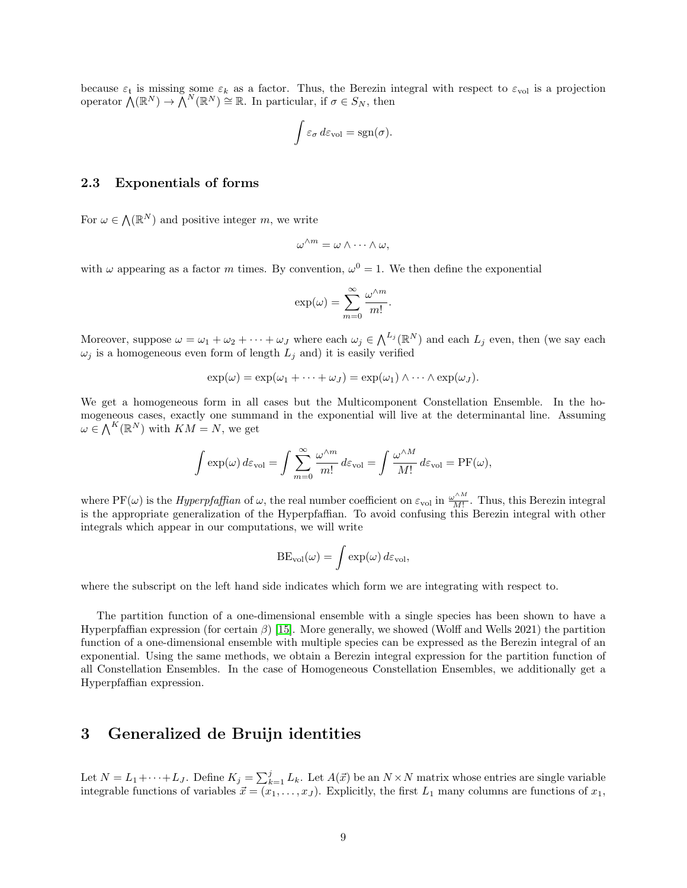because  $\varepsilon_t$  is missing some  $\varepsilon_k$  as a factor. Thus, the Berezin integral with respect to  $\varepsilon_{\text{vol}}$  is a projection operator  $\bigwedge(\mathbb{R}^N)\to\bigwedge^N(\mathbb{R}^N)\cong\mathbb{R}$ . In particular, if  $\sigma\in S_N$ , then

$$
\int \varepsilon_{\sigma} d\varepsilon_{\text{vol}} = \text{sgn}(\sigma).
$$

### 2.3 Exponentials of forms

For  $\omega \in \Lambda(\mathbb{R}^N)$  and positive integer m, we write

$$
\omega^{\wedge m} = \omega \wedge \cdots \wedge \omega,
$$

with  $\omega$  appearing as a factor m times. By convention,  $\omega^0 = 1$ . We then define the exponential

$$
\exp(\omega) = \sum_{m=0}^{\infty} \frac{\omega^{\wedge m}}{m!}.
$$

Moreover, suppose  $\omega = \omega_1 + \omega_2 + \cdots + \omega_J$  where each  $\omega_j \in \bigwedge^{L_j}(\mathbb{R}^N)$  and each  $L_j$  even, then (we say each  $\omega_j$  is a homogeneous even form of length  $L_j$  and) it is easily verified

$$
\exp(\omega) = \exp(\omega_1 + \cdots + \omega_J) = \exp(\omega_1) \wedge \cdots \wedge \exp(\omega_J).
$$

We get a homogeneous form in all cases but the Multicomponent Constellation Ensemble. In the homogeneous cases, exactly one summand in the exponential will live at the determinantal line. Assuming  $\omega \in \bigwedge^{K}(\mathbb{R}^{N})$  with  $KM = N$ , we get

$$
\int \exp(\omega) \, d\varepsilon_{\text{vol}} = \int \sum_{m=0}^{\infty} \frac{\omega^{\wedge m}}{m!} \, d\varepsilon_{\text{vol}} = \int \frac{\omega^{\wedge M}}{M!} \, d\varepsilon_{\text{vol}} = \text{PF}(\omega),
$$

where PF( $\omega$ ) is the *Hyperpfaffian* of  $\omega$ , the real number coefficient on  $\varepsilon_{\text{vol}}$  in  $\frac{\omega^{^{\wedge M}}}{M!}$  $\frac{m}{M!}$ . Thus, this Berezin integral is the appropriate generalization of the Hyperpfaffian. To avoid confusing this Berezin integral with other integrals which appear in our computations, we will write

$$
BE_{\text{vol}}(\omega) = \int \exp(\omega) \, d\varepsilon_{\text{vol}},
$$

where the subscript on the left hand side indicates which form we are integrating with respect to.

The partition function of a one-dimensional ensemble with a single species has been shown to have a Hyperpfaffian expression (for certain  $\beta$ ) [\[15\]](#page-26-11). More generally, we showed (Wolff and Wells 2021) the partition function of a one-dimensional ensemble with multiple species can be expressed as the Berezin integral of an exponential. Using the same methods, we obtain a Berezin integral expression for the partition function of all Constellation Ensembles. In the case of Homogeneous Constellation Ensembles, we additionally get a Hyperpfaffian expression.

### <span id="page-8-0"></span>3 Generalized de Bruijn identities

Let  $N = L_1 + \cdots + L_J$ . Define  $K_j = \sum_{k=1}^j L_k$ . Let  $A(\vec{x})$  be an  $N \times N$  matrix whose entries are single variable integrable functions of variables  $\vec{x} = (x_1, \ldots, x_J)$ . Explicitly, the first  $L_1$  many columns are functions of  $x_1$ ,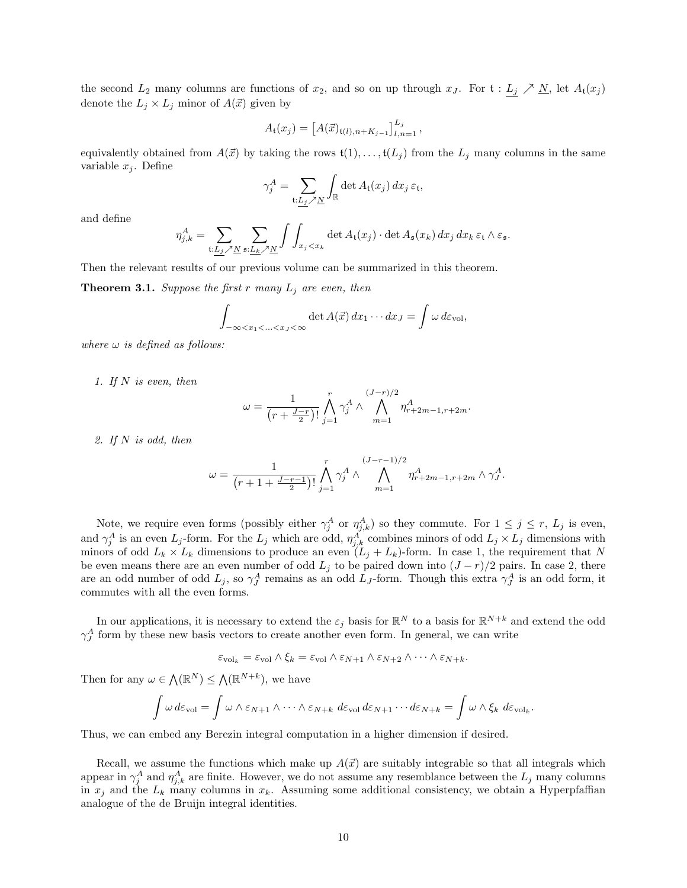the second  $L_2$  many columns are functions of  $x_2$ , and so on up through  $x_j$ . For  $\mathfrak{t}: L_j \nearrow \underline{N}$ , let  $A_{\mathfrak{t}}(x_j)$ denote the  $L_j \times L_j$  minor of  $A(\vec{x})$  given by

$$
A_{\mathfrak{t}}(x_j) = \left[A(\vec{x})_{\mathfrak{t}(l),n+K_{j-1}}\right]_{l,n=1}^{L_j},
$$

equivalently obtained from  $A(\vec{x})$  by taking the rows  $\mathfrak{t}(1), \ldots, \mathfrak{t}(L_j)$  from the  $L_j$  many columns in the same variable  $x_j$ . Define

$$
\gamma_j^A = \sum_{\mathfrak{t}: \underline{L_j} \nearrow \underline{N}} \int_{\mathbb{R}} \det A_{\mathfrak{t}}(x_j) \, dx_j \, \varepsilon_{\mathfrak{t}},
$$

and define

$$
\eta_{j,k}^A = \sum_{\mathfrak{t}: \underline{L_j} \nearrow \underline{N}} \sum_{\mathfrak{s}: \underline{L_k} \nearrow \underline{N}} \int \int_{x_j < x_k} \det A_{\mathfrak{t}}(x_j) \cdot \det A_{\mathfrak{s}}(x_k) \, dx_j \, dx_k \, \varepsilon_{\mathfrak{t}} \wedge \varepsilon_{\mathfrak{s}}.
$$

Then the relevant results of our previous volume can be summarized in this theorem.

<span id="page-9-0"></span>**Theorem 3.1.** Suppose the first r many  $L_j$  are even, then

$$
\int_{-\infty < x_1 < ... < x_J < \infty} \det A(\vec{x}) dx_1 \cdots dx_J = \int \omega d\varepsilon_{\text{vol}},
$$

where  $\omega$  is defined as follows:

1. If  $N$  is even, then

$$
\omega = \frac{1}{(r + \frac{J - r}{2})!} \bigwedge_{j=1}^{r} \gamma_j^A \wedge \bigwedge_{m=1}^{(J - r)/2} \eta_{r+2m-1, r+2m}^A.
$$

2. If N is odd, then

$$
\omega = \frac{1}{(r+1+\frac{J-r-1}{2})!} \bigwedge_{j=1}^r \gamma_j^A \wedge \bigwedge_{m=1}^{(J-r-1)/2} \eta_{r+2m-1,r+2m}^A \wedge \gamma_j^A.
$$

Note, we require even forms (possibly either  $\gamma_j^A$  or  $\eta_{j,k}^A$ ) so they commute. For  $1 \leq j \leq r$ ,  $L_j$  is even, and  $\gamma_j^A$  is an even  $L_j$ -form. For the  $L_j$  which are odd,  $\eta_{j,k}^A$  combines minors of odd  $L_j \times L_j$  dimensions with minors of odd  $L_k \times L_k$  dimensions to produce an even  $(L_j + L_k)$ -form. In case 1, the requirement that N be even means there are an even number of odd  $L_j$  to be paired down into  $(J - r)/2$  pairs. In case 2, there are an odd number of odd  $L_j$ , so  $\gamma^A_J$  remains as an odd  $L_J$ -form. Though this extra  $\gamma^A_J$  is an odd form, it commutes with all the even forms.

In our applications, it is necessary to extend the  $\varepsilon_j$  basis for  $\mathbb{R}^N$  to a basis for  $\mathbb{R}^{N+k}$  and extend the odd  $\gamma_J^A$  form by these new basis vectors to create another even form. In general, we can write

$$
\varepsilon_{\text{vol}_k} = \varepsilon_{\text{vol}} \wedge \xi_k = \varepsilon_{\text{vol}} \wedge \varepsilon_{N+1} \wedge \varepsilon_{N+2} \wedge \cdots \wedge \varepsilon_{N+k}.
$$

Then for any  $\omega \in \Lambda(\mathbb{R}^N) \leq \Lambda(\mathbb{R}^{N+k})$ , we have

$$
\int \omega \, d\varepsilon_{\text{vol}} = \int \omega \wedge \varepsilon_{N+1} \wedge \cdots \wedge \varepsilon_{N+k} \, d\varepsilon_{\text{vol}} \, d\varepsilon_{N+1} \cdots d\varepsilon_{N+k} = \int \omega \wedge \xi_k \, d\varepsilon_{\text{vol}_k}.
$$

Thus, we can embed any Berezin integral computation in a higher dimension if desired.

Recall, we assume the functions which make up  $A(\vec{x})$  are suitably integrable so that all integrals which appear in  $\gamma_j^A$  and  $\eta_{j,k}^A$  are finite. However, we do not assume any resemblance between the  $L_j$  many columns in  $x_j$  and the  $L_k$  many columns in  $x_k$ . Assuming some additional consistency, we obtain a Hyperpfaffian analogue of the de Bruijn integral identities.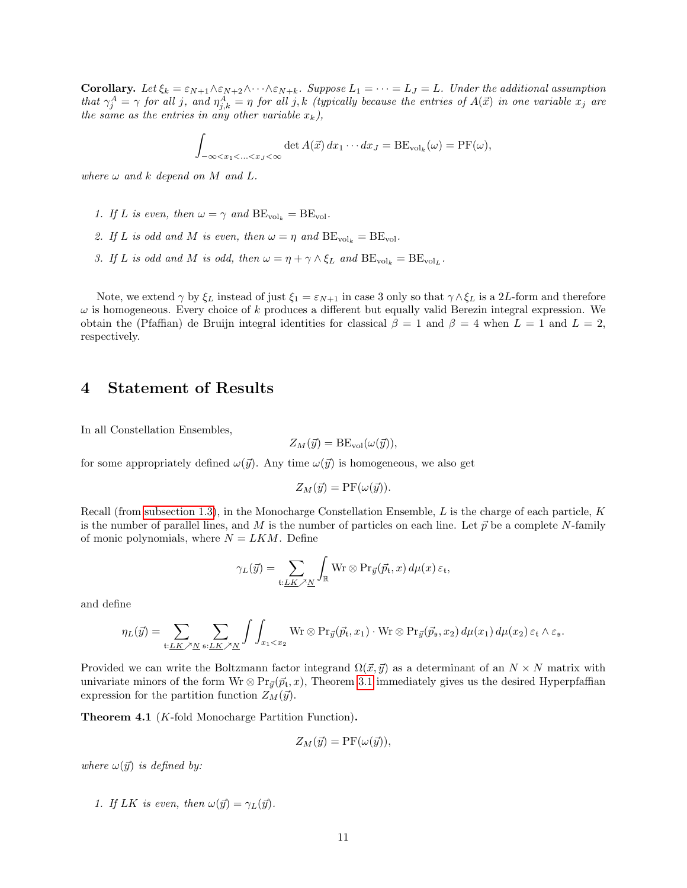**Corollary.** Let  $\xi_k = \varepsilon_{N+1} \wedge \varepsilon_{N+2} \wedge \cdots \wedge \varepsilon_{N+k}$ . Suppose  $L_1 = \cdots = L_J = L$ . Under the additional assumption that  $\gamma_j^A = \gamma$  for all j, and  $\eta_{j,k}^A = \eta$  for all j,k (typically because the entries of  $A(\vec{x})$  in one variable  $x_j$  are the same as the entries in any other variable  $x_k$ ),

$$
\int_{-\infty < x_1 < ... < x_J < \infty} \det A(\vec{x}) dx_1 \cdots dx_J = \text{BE}_{\text{vol}_k}(\omega) = \text{PF}(\omega),
$$

where  $\omega$  and k depend on M and L.

- 1. If L is even, then  $\omega = \gamma$  and  $BE_{vol_k} = BE_{vol}$ .
- 2. If L is odd and M is even, then  $\omega = \eta$  and  $BE_{\text{vol}_k} = BE_{\text{vol}}$ .
- 3. If L is odd and M is odd, then  $\omega = \eta + \gamma \wedge \xi_L$  and  $BE_{vol_k} = BE_{vol_L}$ .

Note, we extend  $\gamma$  by  $\xi_L$  instead of just  $\xi_1 = \varepsilon_{N+1}$  in case 3 only so that  $\gamma \wedge \xi_L$  is a 2L-form and therefore  $\omega$  is homogeneous. Every choice of k produces a different but equally valid Berezin integral expression. We obtain the (Pfaffian) de Bruijn integral identities for classical  $\beta = 1$  and  $\beta = 4$  when  $L = 1$  and  $L = 2$ , respectively.

## <span id="page-10-0"></span>4 Statement of Results

In all Constellation Ensembles,

$$
Z_M(\vec{y}) = \text{BE}_{\text{vol}}(\omega(\vec{y})),
$$

for some appropriately defined  $\omega(\vec{y})$ . Any time  $\omega(\vec{y})$  is homogeneous, we also get

$$
Z_M(\vec{y}) = \text{PF}(\omega(\vec{y})).
$$

Recall (from [subsection 1.3\)](#page-4-0), in the Monocharge Constellation Ensemble,  $L$  is the charge of each particle,  $K$ is the number of parallel lines, and M is the number of particles on each line. Let  $\vec{p}$  be a complete N-family of monic polynomials, where  $N = LKM$ . Define

$$
\gamma_L(\vec{y}) = \sum_{\mathfrak{t}: \underline{LK} \nearrow \underline{N}} \int_{\mathbb{R}} \text{Wr} \otimes \text{Pr}_{\vec{y}}(\vec{p}_{\mathfrak{t}}, x) \, d\mu(x) \, \varepsilon_{\mathfrak{t}},
$$

and define

$$
\eta_L(\vec{y}) = \sum_{\mathfrak{t}: \underline{LK} \nearrow \underline{N}} \sum_{\mathfrak{s}: \underline{LK} \nearrow \underline{N}} \int \int_{x_1 < x_2} \text{Wr} \otimes \text{Pr}_{\vec{y}}(\vec{p}_{\mathfrak{t}}, x_1) \cdot \text{Wr} \otimes \text{Pr}_{\vec{y}}(\vec{p}_{\mathfrak{s}}, x_2) \, d\mu(x_1) \, d\mu(x_2) \, \varepsilon_{\mathfrak{t}} \wedge \varepsilon_{\mathfrak{s}}.
$$

Provided we can write the Boltzmann factor integrand  $\Omega(\vec{x}, \vec{y})$  as a determinant of an  $N \times N$  matrix with univariate minors of the form  $Wr \otimes Pr_{\vec{y}}(\vec{p}_t, x)$ , Theorem [3.1](#page-9-0) immediately gives us the desired Hyperpfaffian expression for the partition function  $Z_M(\vec{y})$ .

<span id="page-10-1"></span>Theorem 4.1 (K-fold Monocharge Partition Function).

$$
Z_M(\vec{y}) = \text{PF}(\omega(\vec{y})),
$$

where  $\omega(\vec{y})$  is defined by:

1. If LK is even, then  $\omega(\vec{y}) = \gamma_L(\vec{y})$ .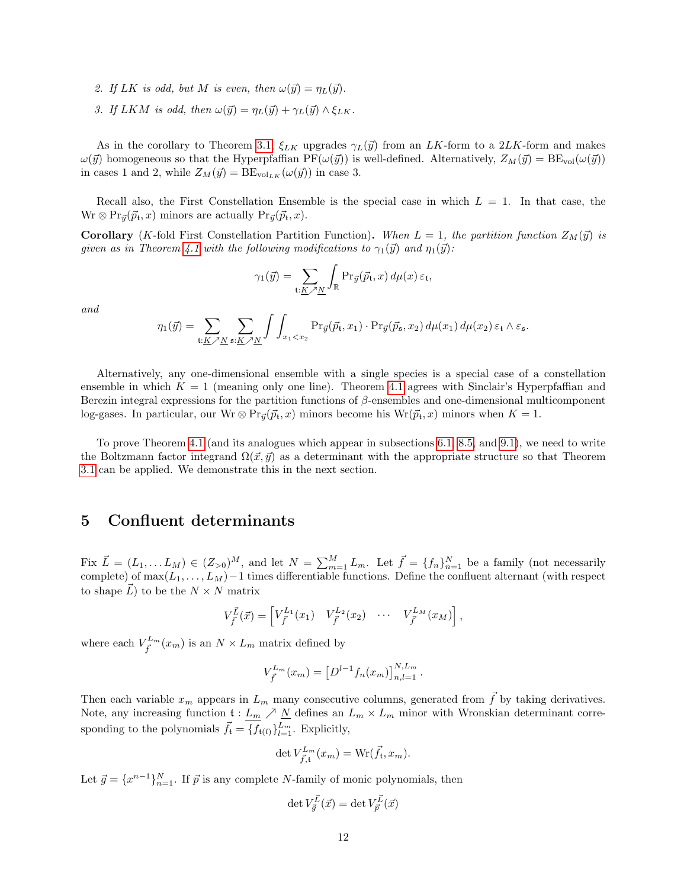- 2. If LK is odd, but M is even, then  $\omega(\vec{y}) = \eta_L(\vec{y})$ .
- 3. If LKM is odd, then  $\omega(\vec{y}) = \eta_L(\vec{y}) + \gamma_L(\vec{y}) \wedge \xi_{LK}$ .

As in the corollary to Theorem [3.1,](#page-9-0)  $\xi_{LK}$  upgrades  $\gamma_L(\vec{y})$  from an LK-form to a 2LK-form and makes  $\omega(\vec{y})$  homogeneous so that the Hyperpfaffian PF( $\omega(\vec{y})$ ) is well-defined. Alternatively,  $Z_M(\vec{y}) = BE_{vol}(\omega(\vec{y}))$ in cases 1 and 2, while  $Z_M(\vec{y}) = BE_{vol_{LK}}(\omega(\vec{y}))$  in case 3.

Recall also, the First Constellation Ensemble is the special case in which  $L = 1$ . In that case, the  $Wr \otimes Pr_{\vec{y}}(\vec{p}_t, x)$  minors are actually  $Pr_{\vec{y}}(\vec{p}_t, x)$ .

**Corollary** (K-fold First Constellation Partition Function). When  $L = 1$ , the partition function  $Z_M(\vec{y})$  is given as in Theorem [4.1](#page-10-1) with the following modifications to  $\gamma_1(\vec{y})$  and  $\eta_1(\vec{y})$ :

$$
\gamma_1(\vec{y}) = \sum_{\mathfrak{t}: K \nearrow N} \int_{\mathbb{R}} \operatorname{Pr}_{\vec{y}}(\vec{p}_{\mathfrak{t}}, x) d\mu(x) \, \varepsilon_{\mathfrak{t}},
$$

and

$$
\eta_1(\vec{y}) = \sum_{\mathfrak{t}: \underline{K} \nearrow \underline{N}} \sum_{\mathfrak{s}: \underline{K} \nearrow \underline{N}} \int \int_{x_1 < x_2} \Pr_{\vec{y}}(\vec{p}_{\mathfrak{t}}, x_1) \cdot \Pr_{\vec{y}}(\vec{p}_{\mathfrak{s}}, x_2) \, d\mu(x_1) \, d\mu(x_2) \, \varepsilon_{\mathfrak{t}} \wedge \varepsilon_{\mathfrak{s}}.
$$

Alternatively, any one-dimensional ensemble with a single species is a special case of a constellation ensemble in which  $K = 1$  (meaning only one line). Theorem [4.1](#page-10-1) agrees with Sinclair's Hyperpfaffian and Berezin integral expressions for the partition functions of  $\beta$ -ensembles and one-dimensional multicomponent log-gases. In particular, our Wr  $\otimes Pr_{\vec{y}}(\vec{p}_t, x)$  minors become his Wr $(\vec{p}_t, x)$  minors when  $K = 1$ .

To prove Theorem [4.1](#page-10-1) (and its analogues which appear in subsections [6.1,](#page-15-0) [8.5,](#page-21-0) and [9.1\)](#page-23-0), we need to write the Boltzmann factor integrand  $\Omega(\vec{x}, \vec{y})$  as a determinant with the appropriate structure so that Theorem [3.1](#page-9-0) can be applied. We demonstrate this in the next section.

### <span id="page-11-0"></span>5 Confluent determinants

Fix  $\vec{L} = (L_1, \ldots, L_M) \in (Z_{>0})^M$ , and let  $N = \sum_{m=1}^M L_m$ . Let  $\vec{f} = \{f_n\}_{n=1}^N$  be a family (not necessarily complete) of  $\max(L_1, \ldots, L_M) - 1$  times differentiable functions. Define the confluent alternant (with respect to shape  $\vec{L}$  ) to be the  $N \times N$  matrix

$$
V_{\vec{f}}^{\vec{L}}(\vec{x}) = \begin{bmatrix} V_{\vec{f}}^{L_1}(x_1) & V_{\vec{f}}^{L_2}(x_2) & \cdots & V_{\vec{f}}^{L_M}(x_M) \end{bmatrix},
$$

where each  $V_{\vec{f}}^{L_m}(x_m)$  is an  $N \times L_m$  matrix defined by

$$
V_{\vec{f}}^{L_m}(x_m) = \left[D^{l-1}f_n(x_m)\right]_{n,l=1}^{N,L_m}.
$$

Then each variable  $x_m$  appears in  $L_m$  many consecutive columns, generated from  $\bar{f}$  by taking derivatives. Note, any increasing function  $\mathfrak{t}: L_m \nearrow \underline{N}$  defines an  $L_m \times L_m$  minor with Wronskian determinant corresponding to the polynomials  $\vec{f}_t = \{f_{t(l)}\}_{l=1}^{L_m}$ . Explicitly,

$$
\det V_{\vec{f},\mathfrak{t}}^{L_m}(x_m) = \mathrm{Wr}(\vec{f}_{\mathfrak{t}}, x_m).
$$

Let  $\vec{g} = \{x^{n-1}\}_{n=1}^N$ . If  $\vec{p}$  is any complete N-family of monic polynomials, then

$$
\det V^{\vec{L}}_{\vec{g}}(\vec{x}) = \det V^{\vec{L}}_{\vec{p}}(\vec{x})
$$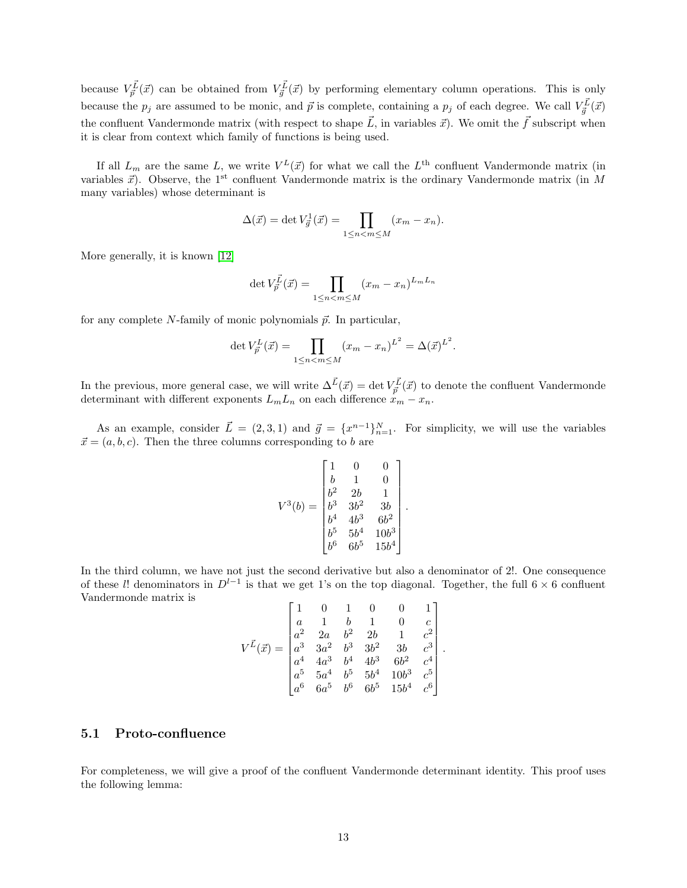because  $V_{\vec{p}}^{\vec{L}}(\vec{x})$  can be obtained from  $V_{\vec{q}}^{\vec{L}}(\vec{x})$  by performing elementary column operations. This is only because the  $p_j$  are assumed to be monic, and  $\vec{p}$  is complete, containing a  $p_j$  of each degree. We call  $V_{\vec{g}}^{\vec{L}}(\vec{x})$ the confluent Vandermonde matrix (with respect to shape  $\vec{L}$ , in variables  $\vec{x}$ ). We omit the  $\vec{f}$  subscript when it is clear from context which family of functions is being used.

If all  $L_m$  are the same L, we write  $V^L(\vec{x})$  for what we call the  $L^{\text{th}}$  confluent Vandermonde matrix (in variables  $\vec{x}$ ). Observe, the 1<sup>st</sup> confluent Vandermonde matrix is the ordinary Vandermonde matrix (in M many variables) whose determinant is

$$
\Delta(\vec{x}) = \det V_{\vec{g}}^1(\vec{x}) = \prod_{1 \le n < m \le M} (x_m - x_n).
$$

More generally, it is known [\[12\]](#page-26-14)

$$
\det V_{\vec{p}}^{\vec{L}}(\vec{x}) = \prod_{1 \le n < m \le M} (x_m - x_n)^{L_m L_n}
$$

for any complete  $N$ -family of monic polynomials  $\vec{p}$ . In particular,

$$
\det V_{\vec{p}}^L(\vec{x}) = \prod_{1 \le n < m \le M} (x_m - x_n)^{L^2} = \Delta(\vec{x})^{L^2}.
$$

In the previous, more general case, we will write  $\Delta^{\vec{L}}(\vec{x}) = \det V_{\vec{p}}^{\vec{L}}(\vec{x})$  to denote the confluent Vandermonde determinant with different exponents  $L_m L_n$  on each difference  $x_m - x_n$ .

As an example, consider  $\vec{L} = (2, 3, 1)$  and  $\vec{g} = \{x^{n-1}\}_{n=1}^N$ . For simplicity, we will use the variables  $\vec{x} = (a, b, c)$ . Then the three columns corresponding to b are

$$
V^{3}(b) = \begin{bmatrix} 1 & 0 & 0 \\ b & 1 & 0 \\ b^{2} & 2b & 1 \\ b^{3} & 3b^{2} & 3b \\ b^{4} & 4b^{3} & 6b^{2} \\ b^{5} & 5b^{4} & 10b^{3} \\ b^{6} & 6b^{5} & 15b^{4} \end{bmatrix}.
$$

In the third column, we have not just the second derivative but also a denominator of 2!. One consequence of these l! denominators in  $D^{l-1}$  is that we get 1's on the top diagonal. Together, the full 6 × 6 confluent Vandermonde matrix is

$$
V^{\vec{L}}(\vec{x}) = \begin{bmatrix} 1 & 0 & 1 & 0 & 0 & 1 \\ a & 1 & b & 1 & 0 & c \\ a^2 & 2a & b^2 & 2b & 1 & c^2 \\ a^3 & 3a^2 & b^3 & 3b^2 & 3b & c^3 \\ a^4 & 4a^3 & b^4 & 4b^3 & 6b^2 & c^4 \\ a^5 & 5a^4 & b^5 & 5b^4 & 10b^3 & c^5 \\ a^6 & 6a^5 & b^6 & 6b^5 & 15b^4 & c^6 \end{bmatrix}.
$$

### <span id="page-12-0"></span>5.1 Proto-confluence

For completeness, we will give a proof of the confluent Vandermonde determinant identity. This proof uses the following lemma: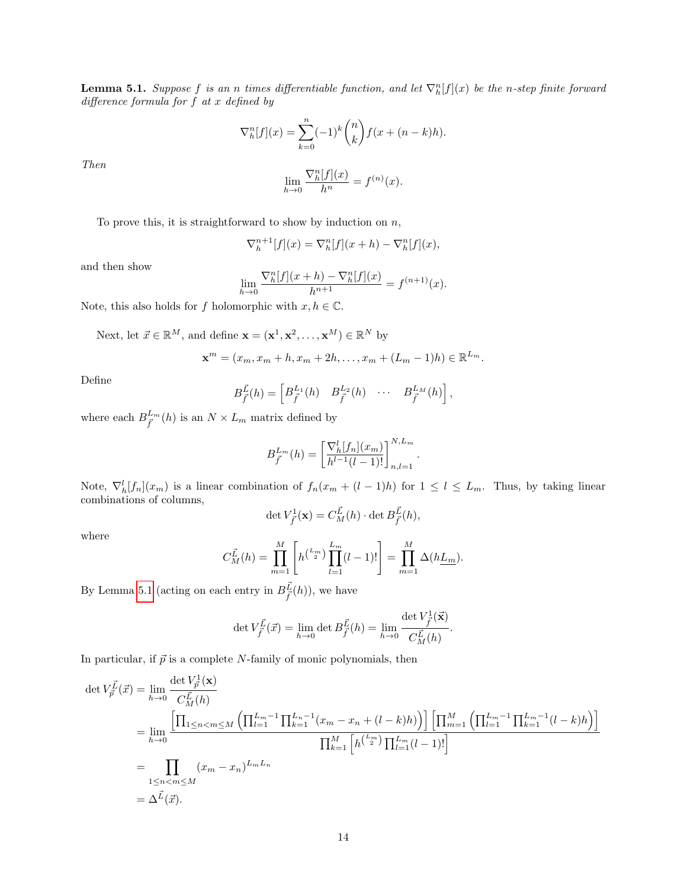<span id="page-13-0"></span>**Lemma 5.1.** Suppose f is an n times differentiable function, and let  $\nabla_h^n[f](x)$  be the n-step finite forward difference formula for f at x defined by

$$
\nabla_h^n[f](x) = \sum_{k=0}^n (-1)^k \binom{n}{k} f(x + (n-k)h).
$$

Then

$$
\lim_{h \to 0} \frac{\nabla_h^n[f](x)}{h^n} = f^{(n)}(x).
$$

To prove this, it is straightforward to show by induction on  $n$ ,

$$
\nabla_h^{n+1}[f](x) = \nabla_h^n[f](x+h) - \nabla_h^n[f](x),
$$

and then show

$$
\lim_{h \to 0} \frac{\nabla_h^n[f](x+h) - \nabla_h^n[f](x)}{h^{n+1}} = f^{(n+1)}(x).
$$

Note, this also holds for f holomorphic with  $x, h \in \mathbb{C}$ .

Next, let  $\vec{x} \in \mathbb{R}^M$ , and define  $\mathbf{x} = (\mathbf{x}^1, \mathbf{x}^2, \dots, \mathbf{x}^M) \in \mathbb{R}^N$  by

$$
\mathbf{x}^m = (x_m, x_m + h, x_m + 2h, \dots, x_m + (L_m - 1)h) \in \mathbb{R}^{L_m}.
$$

Define

$$
B_{\vec{f}}^{\vec{L}}(h) = \begin{bmatrix} B_{\vec{f}}^{L_1}(h) & B_{\vec{f}}^{L_2}(h) & \cdots & B_{\vec{f}}^{L_M}(h) \end{bmatrix},
$$

where each  $B_{\vec{f}}^{L_m}(h)$  is an  $N \times L_m$  matrix defined by

$$
B_{\vec{f}}^{L_m}(h) = \left[\frac{\nabla_h^l[f_n](x_m)}{h^{l-1}(l-1)!}\right]_{n,l=1}^{N,L_m}
$$

.

Note,  $\nabla_h^l[f_n](x_m)$  is a linear combination of  $f_n(x_m + (l-1)h)$  for  $1 \leq l \leq L_m$ . Thus, by taking linear combinations of columns,

$$
\det V_{\vec{f}}^1(\mathbf{x}) = C_M^{\vec{L}}(h) \cdot \det B_{\vec{f}}^{\vec{L}}(h),
$$

where

$$
C_M^{\vec{L}}(h) = \prod_{m=1}^M \left[ h^{(L_m)} \prod_{l=1}^{L_m} (l-1)! \right] = \prod_{m=1}^M \Delta(h\underline{L_m}).
$$

By Lemma [5.1](#page-13-0) (acting on each entry in  $B_{\vec{f}}^{\vec{L}}(h)$ ), we have

$$
\det V_{\vec{f}}^{\vec{L}}(\vec{x}) = \lim_{h \to 0} \det B_{\vec{f}}^{\vec{L}}(h) = \lim_{h \to 0} \frac{\det V_{\vec{f}}^1(\vec{x})}{C_M^{\vec{L}}(h)}.
$$

In particular, if  $\vec{p}$  is a complete N-family of monic polynomials, then

$$
\det V_{\vec{p}}^{\vec{L}}(\vec{x}) = \lim_{h \to 0} \frac{\det V_{\vec{p}}^{\vec{L}}(\mathbf{x})}{C_M^{\vec{L}}(h)}
$$
  
\n
$$
= \lim_{h \to 0} \frac{\left[\prod_{1 \le n < m \le M} \left(\prod_{l=1}^{L_m - 1} \prod_{k=1}^{L_n - 1} (x_m - x_n + (l - k)h)\right)\right] \left[\prod_{m=1}^{M} \left(\prod_{l=1}^{L_m - 1} \prod_{k=1}^{L_m - 1} (l - k)h\right)\right]}{\prod_{k=1}^{M} \left[h^{L_m}\right] \prod_{l=1}^{L_m} (l - 1)! \right]}
$$
  
\n
$$
= \prod_{1 \le n < m \le M} (x_m - x_n)^{L_m L_n}
$$
  
\n
$$
= \Delta^{\vec{L}}(\vec{x}).
$$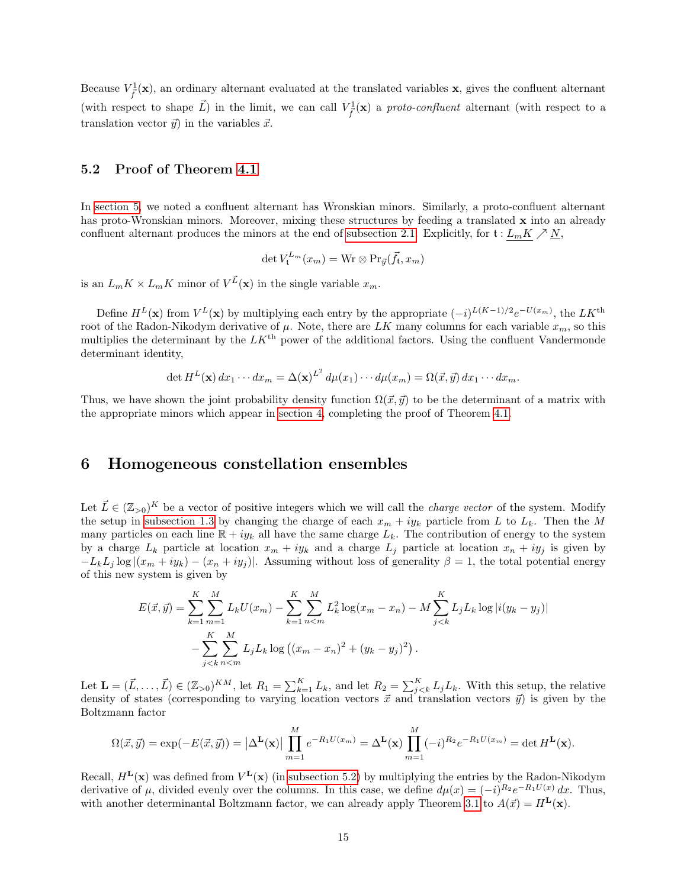Because  $V_f^1(\mathbf{x})$ , an ordinary alternant evaluated at the translated variables  $\mathbf{x}$ , gives the confluent alternant (with respect to shape  $\vec{L}$ ) in the limit, we can call  $V^1_{\vec{f}}(\mathbf{x})$  a proto-confluent alternant (with respect to a translation vector  $\vec{y}$  in the variables  $\vec{x}$ .

### <span id="page-14-1"></span>5.2 Proof of Theorem [4.1](#page-10-1)

In [section 5,](#page-11-0) we noted a confluent alternant has Wronskian minors. Similarly, a proto-confluent alternant has proto-Wronskian minors. Moreover, mixing these structures by feeding a translated x into an already confluent alternant produces the minors at the end of [subsection 2.1.](#page-6-0) Explicitly, for  $\mathfrak{t}: L_mK \nearrow N$ ,

$$
\det V_{\mathfrak{t}}^{L_m}(x_m) = \mathrm{Wr} \otimes \mathrm{Pr}_{\vec{y}}(\vec{f}_{\mathfrak{t}}, x_m)
$$

is an  $L_m K \times L_m K$  minor of  $V^{\vec{L}}(\mathbf{x})$  in the single variable  $x_m$ .

Define  $H^L(\mathbf{x})$  from  $V^L(\mathbf{x})$  by multiplying each entry by the appropriate  $(-i)^{L(K-1)/2}e^{-U(x_m)}$ , the  $LK^{\text{th}}$ root of the Radon-Nikodym derivative of  $\mu$ . Note, there are LK many columns for each variable  $x_m$ , so this multiplies the determinant by the  $LK^{\text{th}}$  power of the additional factors. Using the confluent Vandermonde determinant identity,

$$
\det H^{L}(\mathbf{x}) dx_1 \cdots dx_m = \Delta(\mathbf{x})^{L^2} d\mu(x_1) \cdots d\mu(x_m) = \Omega(\vec{x}, \vec{y}) dx_1 \cdots dx_m.
$$

Thus, we have shown the joint probability density function  $\Omega(\vec{x}, \vec{y})$  to be the determinant of a matrix with the appropriate minors which appear in [section 4,](#page-10-0) completing the proof of Theorem [4.1.](#page-10-1)

### <span id="page-14-0"></span>6 Homogeneous constellation ensembles

Let  $\vec{L} \in (\mathbb{Z}_{>0})^K$  be a vector of positive integers which we will call the *charge vector* of the system. Modify the setup in [subsection 1.3](#page-4-0) by changing the charge of each  $x_m + iy_k$  particle from L to  $L_k$ . Then the M many particles on each line  $\mathbb{R} + iy_k$  all have the same charge  $L_k$ . The contribution of energy to the system by a charge  $L_k$  particle at location  $x_m + iy_k$  and a charge  $L_j$  particle at location  $x_n + iy_j$  is given by  $-L_kL_j \log |(x_m + iy_k) - (x_n + iy_j)|$ . Assuming without loss of generality  $\beta = 1$ , the total potential energy of this new system is given by

$$
E(\vec{x}, \vec{y}) = \sum_{k=1}^{K} \sum_{m=1}^{M} L_k U(x_m) - \sum_{k=1}^{K} \sum_{n < m}^{M} L_k^2 \log(x_m - x_n) - M \sum_{j < k}^{K} L_j L_k \log |i(y_k - y_j)|
$$
  
- 
$$
\sum_{j < k}^{K} \sum_{n < m}^{M} L_j L_k \log ((x_m - x_n)^2 + (y_k - y_j)^2).
$$

Let  $\mathbf{L} = (\vec{L}, \dots, \vec{L}) \in (\mathbb{Z}_{>0})^{KM}$ , let  $R_1 = \sum_{k=1}^{K} L_k$ , and let  $R_2 = \sum_{j < k}^{K} L_j L_k$ . With this setup, the relative density of states (corresponding to varying location vectors  $\vec{x}$  and translation vectors  $\vec{y}$ ) is given by the Boltzmann factor

$$
\Omega(\vec{x},\vec{y}) = \exp(-E(\vec{x},\vec{y})) = \left|\Delta^{\mathbf{L}}(\mathbf{x})\right| \prod_{m=1}^{M} e^{-R_1 U(x_m)} = \Delta^{\mathbf{L}}(\mathbf{x}) \prod_{m=1}^{M} (-i)^{R_2} e^{-R_1 U(x_m)} = \det H^{\mathbf{L}}(\mathbf{x}).
$$

Recall,  $H<sup>L</sup>(x)$  was defined from  $V<sup>L</sup>(x)$  (in [subsection 5.2\)](#page-14-1) by multiplying the entries by the Radon-Nikodym derivative of  $\mu$ , divided evenly over the columns. In this case, we define  $d\mu(x) = (-i)^{R_2} e^{-R_1 U(x)} dx$ . Thus, with another determinantal Boltzmann factor, we can already apply Theorem [3.1](#page-9-0) to  $A(\vec{x}) = H^L(\mathbf{x})$ .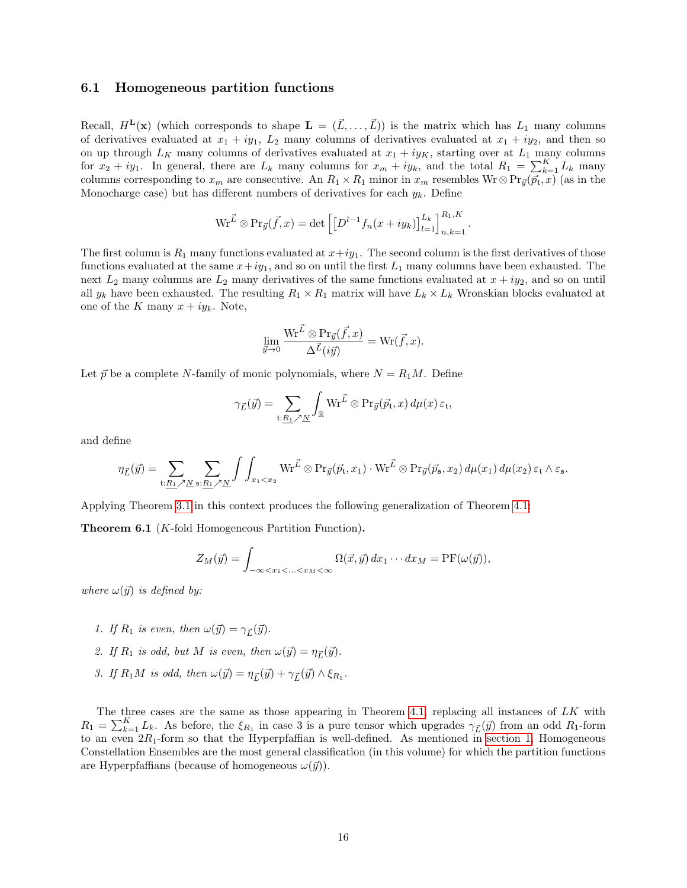#### <span id="page-15-0"></span>6.1 Homogeneous partition functions

Recall,  $H^{\mathbf{L}}(\mathbf{x})$  (which corresponds to shape  $\mathbf{L} = (\vec{L}, \dots, \vec{L})$ ) is the matrix which has  $L_1$  many columns of derivatives evaluated at  $x_1 + iy_1$ ,  $L_2$  many columns of derivatives evaluated at  $x_1 + iy_2$ , and then so on up through  $L_K$  many columns of derivatives evaluated at  $x_1 + iy_K$ , starting over at  $L_1$  many columns for  $x_2 + iy_1$ . In general, there are  $L_k$  many columns for  $x_m + iy_k$ , and the total  $R_1 = \sum_{k=1}^{K} L_k$  many columns corresponding to  $x_m$  are consecutive. An  $R_1 \times R_1$  minor in  $x_m$  resembles Wr  $\otimes$  Pr $_{\vec{y}}(\vec{p}_t, x)$  (as in the Monocharge case) but has different numbers of derivatives for each  $y_k$ . Define

$$
\operatorname{Wr}^{\vec{L}} \otimes \operatorname{Pr}_{\vec{y}}(\vec{f},x) = \det \left[ \left[ D^{l-1} f_n(x+iy_k) \right]_{l=1}^{L_k} \right]_{n,k=1}^{R_1,K}
$$

.

The first column is  $R_1$  many functions evaluated at  $x+iy_1$ . The second column is the first derivatives of those functions evaluated at the same  $x+iy_1$ , and so on until the first  $L_1$  many columns have been exhausted. The next  $L_2$  many columns are  $L_2$  many derivatives of the same functions evaluated at  $x + iy_2$ , and so on until all  $y_k$  have been exhausted. The resulting  $R_1 \times R_1$  matrix will have  $L_k \times L_k$  Wronskian blocks evaluated at one of the K many  $x + iy_k$ . Note,

$$
\lim_{\vec{y}\to 0} \frac{\mathrm{Wr}^{\vec{L}} \otimes \mathrm{Pr}_{\vec{y}}(\vec{f},x)}{\Delta^{\vec{L}}(i\vec{y})} = \mathrm{Wr}(\vec{f},x).
$$

Let  $\vec{p}$  be a complete N-family of monic polynomials, where  $N = R_1M$ . Define

$$
\gamma_{\vec{L}}(\vec{y}) = \sum_{\mathfrak{t}: \underline{R_1} \nearrow \underline{N}} \int_{\mathbb{R}} W \vec{r} \otimes \Pr_{\vec{y}}(\vec{p}_{\mathfrak{t}}, x) d\mu(x) \, \varepsilon_{\mathfrak{t}},
$$

and define

$$
\eta_{\vec{L}}(\vec{y}) = \sum_{\mathfrak{t}: \underline{R_1} \nearrow \underline{N}} \sum_{\mathfrak{s}: \underline{R_1} \nearrow \underline{N}} \int \int_{x_1 < x_2} \mathrm{Wr}^{\vec{L}} \otimes \mathrm{Pr}_{\vec{y}}(\vec{p}_{\mathfrak{t}}, x_1) \cdot \mathrm{Wr}^{\vec{L}} \otimes \mathrm{Pr}_{\vec{y}}(\vec{p}_{\mathfrak{s}}, x_2) \, d\mu(x_1) \, d\mu(x_2) \, \varepsilon_{\mathfrak{t}} \wedge \varepsilon_{\mathfrak{s}}.
$$

Applying Theorem [3.1](#page-9-0) in this context produces the following generalization of Theorem [4.1:](#page-10-1)

<span id="page-15-1"></span>Theorem 6.1 (K-fold Homogeneous Partition Function).

$$
Z_M(\vec{y}) = \int_{-\infty < x_1 < \ldots < x_M < \infty} \Omega(\vec{x}, \vec{y}) \, dx_1 \cdots dx_M = \text{PF}(\omega(\vec{y})),
$$

where  $\omega(\vec{y})$  is defined by:

- 1. If  $R_1$  is even, then  $\omega(\vec{y}) = \gamma_{\vec{L}}(\vec{y})$ .
- 2. If  $R_1$  is odd, but M is even, then  $\omega(\vec{y}) = \eta_{\vec{L}}(\vec{y})$ .
- 3. If  $R_1M$  is odd, then  $\omega(\vec{y}) = \eta_{\vec{L}}(\vec{y}) + \gamma_{\vec{L}}(\vec{y}) \wedge \xi_{R_1}$ .

The three cases are the same as those appearing in Theorem [4.1,](#page-10-1) replacing all instances of LK with  $R_1 = \sum_{k=1}^{K} L_k$ . As before, the  $\xi_{R_1}$  in case 3 is a pure tensor which upgrades  $\gamma_{\vec{L}}(\vec{y})$  from an odd  $R_1$ -form to an even  $2R_1$ -form so that the Hyperpfaffian is well-defined. As mentioned in [section 1,](#page-0-0) Homogeneous Constellation Ensembles are the most general classification (in this volume) for which the partition functions are Hyperpfaffians (because of homogeneous  $\omega(\vec{y})$ ).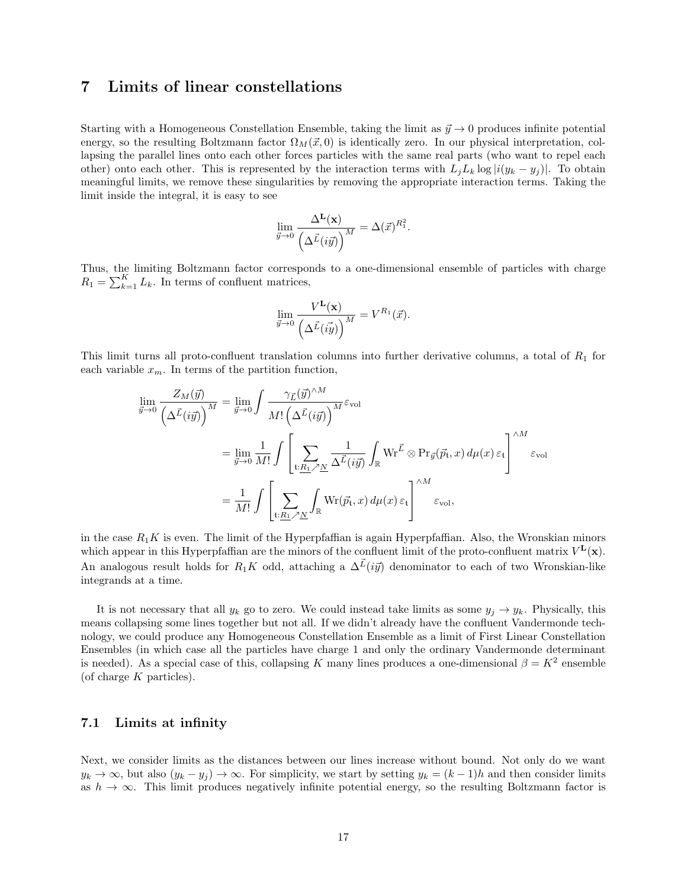## <span id="page-16-0"></span>7 Limits of linear constellations

Starting with a Homogeneous Constellation Ensemble, taking the limit as  $\vec{y} \to 0$  produces infinite potential energy, so the resulting Boltzmann factor  $\Omega_M(\vec{x},0)$  is identically zero. In our physical interpretation, collapsing the parallel lines onto each other forces particles with the same real parts (who want to repel each other) onto each other. This is represented by the interaction terms with  $L_jL_k \log |i(y_k - y_j)|$ . To obtain meaningful limits, we remove these singularities by removing the appropriate interaction terms. Taking the limit inside the integral, it is easy to see

$$
\lim_{\vec{y}\to 0}\frac{\Delta^{\mathbf{L}}(\mathbf{x})}{\left(\Delta^{\vec{L}}(i\vec{y})\right)^M}=\Delta(\vec{x})^{R_1^2}.
$$

Thus, the limiting Boltzmann factor corresponds to a one-dimensional ensemble of particles with charge  $R_1 = \sum_{k=1}^{K} L_k$ . In terms of confluent matrices,

$$
\lim_{\vec{y}\to 0}\frac{V^{\mathbf{L}}(\mathbf{x})}{\left(\Delta^{\vec{L}}(\vec{iy})\right)^M}=V^{R_1}(\vec{x}).
$$

This limit turns all proto-confluent translation columns into further derivative columns, a total of  $R_1$  for each variable  $x_m$ . In terms of the partition function,

$$
\lim_{\vec{y}\to 0} \frac{Z_M(\vec{y})}{\left(\Delta \vec{L}(i\vec{y})\right)^M} = \lim_{\vec{y}\to 0} \int \frac{\gamma_{\vec{L}}(\vec{y})^{\wedge M}}{M! \left(\Delta \vec{L}(i\vec{y})\right)^M} \varepsilon_{\text{vol}}
$$
\n
$$
= \lim_{\vec{y}\to 0} \frac{1}{M!} \int \left[ \sum_{\mathfrak{t}: \underline{R_1} \nearrow \underline{N}} \frac{1}{\Delta \vec{L}(i\vec{y})} \int_{\mathbb{R}} \mathrm{Wr}^{\vec{L}} \otimes \mathrm{Pr}_{\vec{y}}(\vec{p}_{\mathfrak{t}}, x) d\mu(x) \, \varepsilon_{\mathfrak{t}} \right]^{\wedge M} \varepsilon_{\text{vol}}
$$
\n
$$
= \frac{1}{M!} \int \left[ \sum_{\mathfrak{t}: \underline{R_1} \nearrow \underline{N}} \int_{\mathbb{R}} \mathrm{Wr}(\vec{p}_{\mathfrak{t}}, x) d\mu(x) \, \varepsilon_{\mathfrak{t}} \right]^{\wedge M} \varepsilon_{\text{vol}},
$$

in the case  $R_1K$  is even. The limit of the Hyperpfaffian is again Hyperpfaffian. Also, the Wronskian minors which appear in this Hyperpfaffian are the minors of the confluent limit of the proto-confluent matrix  $V^{\mathbf{L}}(\mathbf{x})$ . An analogous result holds for  $R_1K$  odd, attaching a  $\Delta^{\vec{L}}(i\vec{y})$  denominator to each of two Wronskian-like integrands at a time.

It is not necessary that all  $y_k$  go to zero. We could instead take limits as some  $y_j \to y_k$ . Physically, this means collapsing some lines together but not all. If we didn't already have the confluent Vandermonde technology, we could produce any Homogeneous Constellation Ensemble as a limit of First Linear Constellation Ensembles (in which case all the particles have charge 1 and only the ordinary Vandermonde determinant is needed). As a special case of this, collapsing K many lines produces a one-dimensional  $\beta = K^2$  ensemble (of charge  $K$  particles).

### 7.1 Limits at infinity

Next, we consider limits as the distances between our lines increase without bound. Not only do we want  $y_k \to \infty$ , but also  $(y_k - y_j) \to \infty$ . For simplicity, we start by setting  $y_k = (k-1)h$  and then consider limits as  $h \to \infty$ . This limit produces negatively infinite potential energy, so the resulting Boltzmann factor is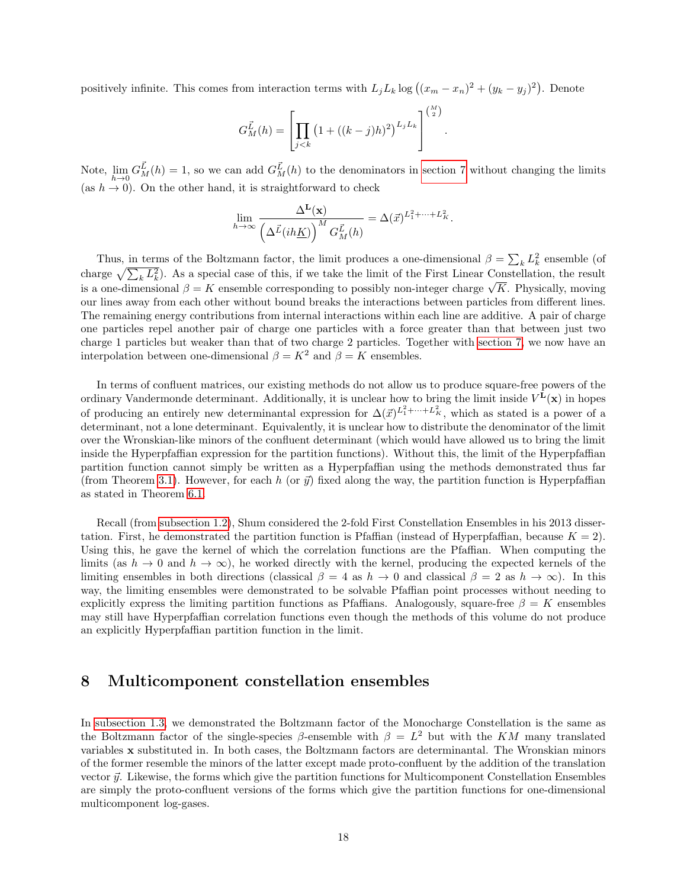positively infinite. This comes from interaction terms with  $L_j L_k \log((x_m - x_n)^2 + (y_k - y_j)^2)$ . Denote

$$
G_M^{\vec{L}}(h) = \left[ \prod_{j < k} \left( 1 + ((k-j)h)^2 \right)^{L_j L_k} \right]^{M \choose 2}.
$$

Note,  $\lim_{h\to 0} G_M^{\vec{L}}(h) = 1$ , so we can add  $G_M^{\vec{L}}(h)$  to the denominators in [section 7](#page-16-0) without changing the limits (as  $h \to 0$ ). On the other hand, it is straightforward to check

$$
\lim_{h \to \infty} \frac{\Delta^{\mathbf{L}}(\mathbf{x})}{\left(\Delta^{\vec{L}}(ih\underline{K})\right)^M G_M^{\vec{L}}(h)} = \Delta(\vec{x})^{L_1^2 + \dots + L_K^2}.
$$

Thus, in terms of the Boltzmann factor, the limit produces a one-dimensional  $\beta = \sum_k L_k^2$  ensemble (of charge  $\sqrt{\sum_k L_k^2}$ ). As a special case of this, if we take the limit of the First Linear Constellation, the result charge  $\sqrt{\sum_k L_k}$ . As a special case of this, if we take the film of the rifst Einear Constenation, the result is a one-dimensional  $\beta = K$  ensemble corresponding to possibly non-integer charge  $\sqrt{K}$ . Physically, moving our lines away from each other without bound breaks the interactions between particles from different lines. The remaining energy contributions from internal interactions within each line are additive. A pair of charge one particles repel another pair of charge one particles with a force greater than that between just two charge 1 particles but weaker than that of two charge 2 particles. Together with [section 7,](#page-16-0) we now have an interpolation between one-dimensional  $\beta = K^2$  and  $\beta = K$  ensembles.

In terms of confluent matrices, our existing methods do not allow us to produce square-free powers of the ordinary Vandermonde determinant. Additionally, it is unclear how to bring the limit inside  $V^{\mathbf{L}}(\mathbf{x})$  in hopes of producing an entirely new determinantal expression for  $\Delta(\vec{x})^{L_1^2+\cdots+L_K^2}$ , which as stated is a power of a determinant, not a lone determinant. Equivalently, it is unclear how to distribute the denominator of the limit over the Wronskian-like minors of the confluent determinant (which would have allowed us to bring the limit inside the Hyperpfaffian expression for the partition functions). Without this, the limit of the Hyperpfaffian partition function cannot simply be written as a Hyperpfaffian using the methods demonstrated thus far (from Theorem [3.1\)](#page-9-0). However, for each h (or  $\vec{y}$ ) fixed along the way, the partition function is Hyperpfaffian as stated in Theorem [6.1.](#page-15-1)

Recall (from [subsection 1.2\)](#page-3-0), Shum considered the 2-fold First Constellation Ensembles in his 2013 dissertation. First, he demonstrated the partition function is Pfaffian (instead of Hyperpfaffian, because  $K = 2$ ). Using this, he gave the kernel of which the correlation functions are the Pfaffian. When computing the limits (as  $h \to 0$  and  $h \to \infty$ ), he worked directly with the kernel, producing the expected kernels of the limiting ensembles in both directions (classical  $\beta = 4$  as  $h \to 0$  and classical  $\beta = 2$  as  $h \to \infty$ ). In this way, the limiting ensembles were demonstrated to be solvable Pfaffian point processes without needing to explicitly express the limiting partition functions as Pfaffians. Analogously, square-free  $\beta = K$  ensembles may still have Hyperpfaffian correlation functions even though the methods of this volume do not produce an explicitly Hyperpfaffian partition function in the limit.

### <span id="page-17-0"></span>8 Multicomponent constellation ensembles

In [subsection 1.3,](#page-4-0) we demonstrated the Boltzmann factor of the Monocharge Constellation is the same as the Boltzmann factor of the single-species  $\beta$ -ensemble with  $\beta = L^2$  but with the KM many translated variables x substituted in. In both cases, the Boltzmann factors are determinantal. The Wronskian minors of the former resemble the minors of the latter except made proto-confluent by the addition of the translation vector  $\vec{y}$ . Likewise, the forms which give the partition functions for Multicomponent Constellation Ensembles are simply the proto-confluent versions of the forms which give the partition functions for one-dimensional multicomponent log-gases.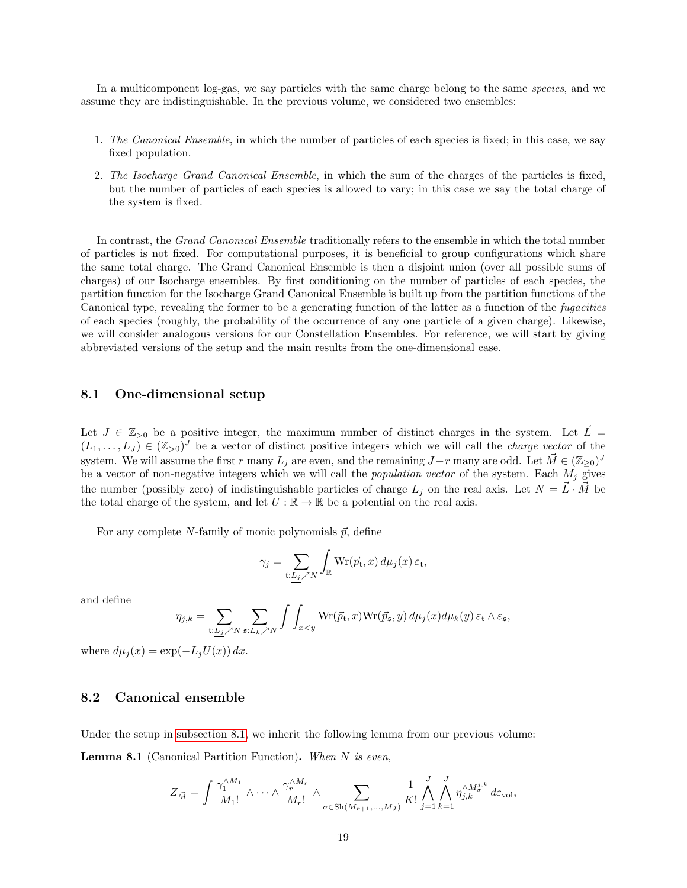In a multicomponent log-gas, we say particles with the same charge belong to the same species, and we assume they are indistinguishable. In the previous volume, we considered two ensembles:

- 1. The Canonical Ensemble, in which the number of particles of each species is fixed; in this case, we say fixed population.
- 2. The Isocharge Grand Canonical Ensemble, in which the sum of the charges of the particles is fixed, but the number of particles of each species is allowed to vary; in this case we say the total charge of the system is fixed.

In contrast, the Grand Canonical Ensemble traditionally refers to the ensemble in which the total number of particles is not fixed. For computational purposes, it is beneficial to group configurations which share the same total charge. The Grand Canonical Ensemble is then a disjoint union (over all possible sums of charges) of our Isocharge ensembles. By first conditioning on the number of particles of each species, the partition function for the Isocharge Grand Canonical Ensemble is built up from the partition functions of the Canonical type, revealing the former to be a generating function of the latter as a function of the fugacities of each species (roughly, the probability of the occurrence of any one particle of a given charge). Likewise, we will consider analogous versions for our Constellation Ensembles. For reference, we will start by giving abbreviated versions of the setup and the main results from the one-dimensional case.

### <span id="page-18-0"></span>8.1 One-dimensional setup

Let  $J \in \mathbb{Z}_{>0}$  be a positive integer, the maximum number of distinct charges in the system. Let  $\vec{L}$  =  $(L_1,\ldots,L_J) \in (\mathbb{Z}_{>0})^J$  be a vector of distinct positive integers which we will call the *charge vector* of the system. We will assume the first r many  $L_j$  are even, and the remaining  $J-r$  many are odd. Let  $\vec{M} \in (\mathbb{Z}_{\geq 0})^J$ be a vector of non-negative integers which we will call the *population vector* of the system. Each  $M_j$  gives the number (possibly zero) of indistinguishable particles of charge  $L_j$  on the real axis. Let  $N = \vec{L} \cdot \vec{M}$  be the total charge of the system, and let  $U : \mathbb{R} \to \mathbb{R}$  be a potential on the real axis.

For any complete N-family of monic polynomials  $\vec{p}$ , define

$$
\gamma_j = \sum_{\mathfrak{t}: \underline{L_j} \nearrow \underline{N}} \int_{\mathbb{R}} \mathrm{Wr}(\vec{p}_{\mathfrak{t}}, x) \, d\mu_j(x) \, \varepsilon_{\mathfrak{t}},
$$

and define

$$
\eta_{j,k} = \sum_{\mathbf{t}: \underline{L_j} \nearrow \underline{N}} \sum_{\mathbf{s}: \underline{L_k} \nearrow \underline{N}} \int \int_{x < y} \mathrm{Wr}(\vec{p}_{\mathbf{t}}, x) \mathrm{Wr}(\vec{p}_{\mathbf{s}}, y) \, d\mu_j(x) d\mu_k(y) \, \varepsilon_{\mathbf{t}} \wedge \varepsilon_{\mathbf{s}},
$$

where  $d\mu_j(x) = \exp(-L_jU(x)) dx$ .

### 8.2 Canonical ensemble

<span id="page-18-1"></span>Under the setup in [subsection 8.1,](#page-18-0) we inherit the following lemma from our previous volume: **Lemma 8.1** (Canonical Partition Function). When  $N$  is even,

$$
Z_{\vec{M}} = \int \frac{\gamma_1^{\wedge M_1}}{M_1!} \wedge \cdots \wedge \frac{\gamma_r^{\wedge M_r}}{M_r!} \wedge \sum_{\sigma \in Sh(M_{r+1},...,M_J)} \frac{1}{K!} \bigwedge_{j=1}^J \bigwedge_{k=1}^J \eta_{j,k}^{\wedge M_{\sigma}^{j,k}} d\varepsilon_{\text{vol}},
$$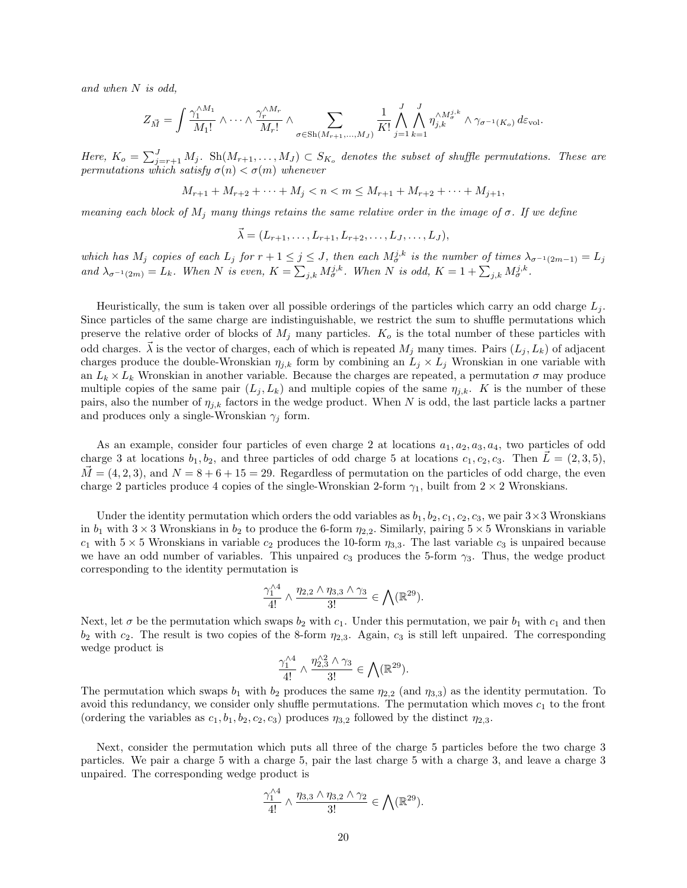and when N is odd,

$$
Z_{\vec{M}} = \int \frac{\gamma_1^{\wedge M_1}}{M_1!} \wedge \cdots \wedge \frac{\gamma_r^{\wedge M_r}}{M_r!} \wedge \sum_{\sigma \in Sh(M_{r+1},...,M_J)} \frac{1}{K!} \bigwedge_{j=1}^J \bigwedge_{k=1}^J \eta_{j,k}^{\wedge M_{\sigma}^{j,k}} \wedge \gamma_{\sigma^{-1}(K_o)} d\varepsilon_{\text{vol}}.
$$

Here,  $K_o = \sum_{j=r+1}^{J} M_j$ . Sh $(M_{r+1},...,M_J) \subset S_{K_o}$  denotes the subset of shuffle permutations. These are permutations which satisfy  $\sigma(n) < \sigma(m)$  whenever

$$
M_{r+1} + M_{r+2} + \dots + M_j < n < m \le M_{r+1} + M_{r+2} + \dots + M_{j+1},
$$

meaning each block of  $M_j$  many things retains the same relative order in the image of  $\sigma$ . If we define

$$
\vec{\lambda} = (L_{r+1}, \ldots, L_{r+1}, L_{r+2}, \ldots, L_J, \ldots, L_J),
$$

which has  $M_j$  copies of each  $L_j$  for  $r+1 \leq j \leq J$ , then each  $M_{\sigma}^{j,k}$  is the number of times  $\lambda_{\sigma^{-1}(2m-1)} = L_j$ and  $\lambda_{\sigma^{-1}(2m)} = L_k$ . When N is even,  $K = \sum_{j,k} M_{\sigma}^{j,k}$ . When N is odd,  $K = 1 + \sum_{j,k} M_{\sigma}^{j,k}$ .

Heuristically, the sum is taken over all possible orderings of the particles which carry an odd charge  $L_i$ . Since particles of the same charge are indistinguishable, we restrict the sum to shuffle permutations which preserve the relative order of blocks of  $M_j$  many particles.  $K_o$  is the total number of these particles with odd charges.  $\vec{\lambda}$  is the vector of charges, each of which is repeated  $M_j$  many times. Pairs  $(L_j, L_k)$  of adjacent charges produce the double-Wronskian  $\eta_{j,k}$  form by combining an  $L_j \times L_j$  Wronskian in one variable with an  $L_k \times L_k$  Wronskian in another variable. Because the charges are repeated, a permutation  $\sigma$  may produce multiple copies of the same pair  $(L_i, L_k)$  and multiple copies of the same  $\eta_{i,k}$ . K is the number of these pairs, also the number of  $\eta_{j,k}$  factors in the wedge product. When N is odd, the last particle lacks a partner and produces only a single-Wronskian  $\gamma_j$  form.

As an example, consider four particles of even charge 2 at locations  $a_1, a_2, a_3, a_4$ , two particles of odd charge 3 at locations  $b_1, b_2$ , and three particles of odd charge 5 at locations  $c_1, c_2, c_3$ . Then  $\vec{L} = (2, 3, 5)$ ,  $\dot{M} = (4, 2, 3)$ , and  $N = 8 + 6 + 15 = 29$ . Regardless of permutation on the particles of odd charge, the even charge 2 particles produce 4 copies of the single-Wronskian 2-form  $\gamma_1$ , built from 2 × 2 Wronskians.

Under the identity permutation which orders the odd variables as  $b_1, b_2, c_1, c_2, c_3$ , we pair  $3 \times 3$  Wronskians in  $b_1$  with  $3 \times 3$  Wronskians in  $b_2$  to produce the 6-form  $\eta_{2,2}$ . Similarly, pairing  $5 \times 5$  Wronskians in variable  $c_1$  with  $5 \times 5$  Wronskians in variable  $c_2$  produces the 10-form  $\eta_{3,3}$ . The last variable  $c_3$  is unpaired because we have an odd number of variables. This unpaired  $c_3$  produces the 5-form  $\gamma_3$ . Thus, the wedge product corresponding to the identity permutation is

$$
\frac{\gamma_1^{\wedge 4}}{4!} \wedge \frac{\eta_{2,2} \wedge \eta_{3,3} \wedge \gamma_3}{3!} \in \bigwedge (\mathbb{R}^{29}).
$$

Next, let  $\sigma$  be the permutation which swaps  $b_2$  with  $c_1$ . Under this permutation, we pair  $b_1$  with  $c_1$  and then  $b_2$  with  $c_2$ . The result is two copies of the 8-form  $\eta_{2,3}$ . Again,  $c_3$  is still left unpaired. The corresponding wedge product is

$$
\frac{\gamma_1^{\wedge 4}}{4!} \wedge \frac{\eta_{2,3}^{\wedge 2} \wedge \gamma_3}{3!} \in \bigwedge (\mathbb{R}^{29}).
$$

The permutation which swaps  $b_1$  with  $b_2$  produces the same  $\eta_{2,2}$  (and  $\eta_{3,3}$ ) as the identity permutation. To avoid this redundancy, we consider only shuffle permutations. The permutation which moves  $c_1$  to the front (ordering the variables as  $c_1$ ,  $b_1$ ,  $b_2$ ,  $c_2$ ,  $c_3$ ) produces  $\eta_{3,2}$  followed by the distinct  $\eta_{2,3}$ .

Next, consider the permutation which puts all three of the charge 5 particles before the two charge 3 particles. We pair a charge 5 with a charge 5, pair the last charge 5 with a charge 3, and leave a charge 3 unpaired. The corresponding wedge product is

$$
\frac{\gamma_1^{\wedge 4}}{4!} \wedge \frac{\eta_{3,3} \wedge \eta_{3,2} \wedge \gamma_2}{3!} \in \bigwedge (\mathbb{R}^{29}).
$$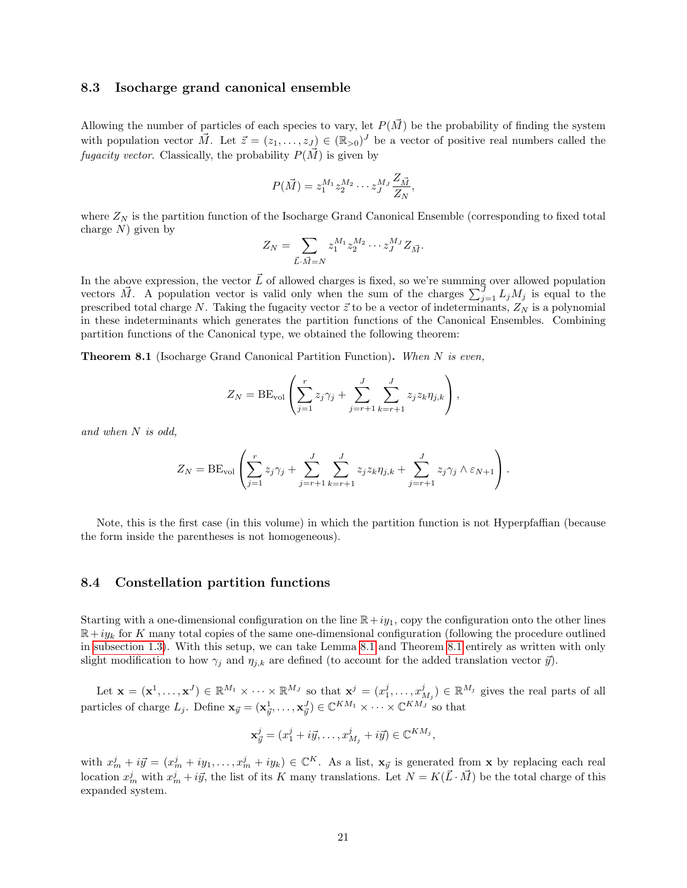### 8.3 Isocharge grand canonical ensemble

Allowing the number of particles of each species to vary, let  $P(\vec{M})$  be the probability of finding the system with population vector  $\vec{M}$ . Let  $\vec{z} = (z_1, \ldots, z_J) \in (\mathbb{R}_{>0})^J$  be a vector of positive real numbers called the fugacity vector. Classically, the probability  $P(\vec{M})$  is given by

$$
P(\vec{M}) = z_1^{M_1} z_2^{M_2} \cdots z_J^{M_J} \frac{Z_{\vec{M}}}{Z_N},
$$

where  $Z_N$  is the partition function of the Isocharge Grand Canonical Ensemble (corresponding to fixed total charge  $N$ ) given by

$$
Z_N = \sum_{\vec{L}\cdot\vec{M}=N} z_1^{M_1} z_2^{M_2} \cdots z_J^{M_J} Z_{\vec{M}}.
$$

In the above expression, the vector  $\vec{L}$  of allowed charges is fixed, so we're summing over allowed population vectors  $\vec{M}$ . A population vector is valid only when the sum of the charges  $\sum_{j=1}^{J} L_j M_j$  is equal to the prescribed total charge N. Taking the fugacity vector  $\vec{z}$  to be a vector of indeterminants,  $Z_N$  is a polynomial in these indeterminants which generates the partition functions of the Canonical Ensembles. Combining partition functions of the Canonical type, we obtained the following theorem:

<span id="page-20-0"></span>**Theorem 8.1** (Isocharge Grand Canonical Partition Function). When  $N$  is even,

$$
Z_N = BE_{\text{vol}}\left(\sum_{j=1}^r z_j \gamma_j + \sum_{j=r+1}^J \sum_{k=r+1}^J z_j z_k \eta_{j,k}\right),\,
$$

and when N is odd,

$$
Z_N = \text{BE}_{\text{vol}}\left(\sum_{j=1}^r z_j \gamma_j + \sum_{j=r+1}^J \sum_{k=r+1}^J z_j z_k \eta_{j,k} + \sum_{j=r+1}^J z_j \gamma_j \wedge \varepsilon_{N+1}\right).
$$

Note, this is the first case (in this volume) in which the partition function is not Hyperpfaffian (because the form inside the parentheses is not homogeneous).

#### <span id="page-20-1"></span>8.4 Constellation partition functions

Starting with a one-dimensional configuration on the line  $\mathbb{R}+iy_1$ , copy the configuration onto the other lines  $\mathbb{R}+iy_k$  for K many total copies of the same one-dimensional configuration (following the procedure outlined in [subsection 1.3\)](#page-4-0). With this setup, we can take Lemma [8.1](#page-18-1) and Theorem [8.1](#page-20-0) entirely as written with only slight modification to how  $\gamma_j$  and  $\eta_{j,k}$  are defined (to account for the added translation vector  $\vec{y}$ ).

Let  $\mathbf{x} = (\mathbf{x}^1, \dots, \mathbf{x}^J) \in \mathbb{R}^{M_1} \times \dots \times \mathbb{R}^{M_J}$  so that  $\mathbf{x}^j = (x_1^j, \dots, x_{M_j}^j) \in \mathbb{R}^{M_j}$  gives the real parts of all particles of charge  $L_j$ . Define  $\mathbf{x}_{\vec{y}} = (\mathbf{x}_{\vec{y}}^1, \dots, \mathbf{x}_{\vec{y}}^J) \in \mathbb{C}^{KM_1} \times \dots \times \mathbb{C}^{KM_J}$  so that

$$
\mathbf{x}_{\vec{y}}^j = (x_1^j + i\vec{y}, \dots, x_{M_j}^j + i\vec{y}) \in \mathbb{C}^{KM_j},
$$

with  $x_m^j + i\vec{y} = (x_m^j + iy_1, \ldots, x_m^j + iy_k) \in \mathbb{C}^K$ . As a list,  $\mathbf{x}_{\vec{y}}$  is generated from x by replacing each real location  $x_m^j$  with  $x_m^j + i\vec{y}$ , the list of its K many translations. Let  $N = K(\vec{L} \cdot \vec{M})$  be the total charge of this expanded system.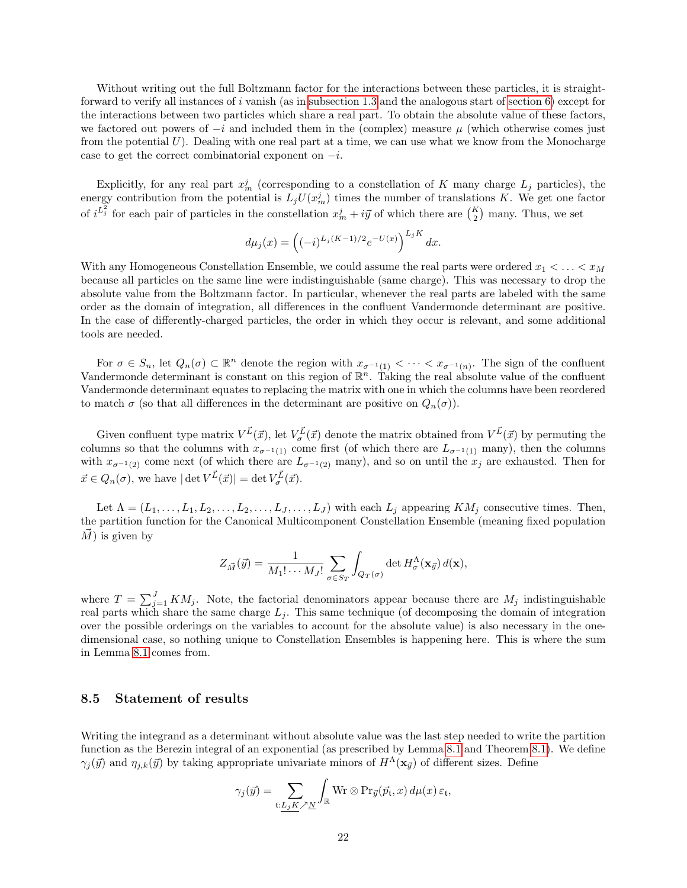Without writing out the full Boltzmann factor for the interactions between these particles, it is straightforward to verify all instances of i vanish (as in [subsection 1.3](#page-4-0) and the analogous start of section  $6$ ) except for the interactions between two particles which share a real part. To obtain the absolute value of these factors, we factored out powers of  $-i$  and included them in the (complex) measure  $\mu$  (which otherwise comes just from the potential  $U$ ). Dealing with one real part at a time, we can use what we know from the Monocharge case to get the correct combinatorial exponent on  $-i$ .

Explicitly, for any real part  $x_m^j$  (corresponding to a constellation of K many charge  $L_j$  particles), the energy contribution from the potential is  $L_j U(x_m^j)$  times the number of translations K. We get one factor of  $i^{L_j^2}$  for each pair of particles in the constellation  $x_m^j + i\vec{y}$  of which there are  $\binom{K}{2}$  many. Thus, we set

$$
d\mu_j(x) = \left( (-i)^{L_j(K-1)/2} e^{-U(x)} \right)^{L_j K} dx.
$$

With any Homogeneous Constellation Ensemble, we could assume the real parts were ordered  $x_1 < \ldots < x_M$ because all particles on the same line were indistinguishable (same charge). This was necessary to drop the absolute value from the Boltzmann factor. In particular, whenever the real parts are labeled with the same order as the domain of integration, all differences in the confluent Vandermonde determinant are positive. In the case of differently-charged particles, the order in which they occur is relevant, and some additional tools are needed.

For  $\sigma \in S_n$ , let  $Q_n(\sigma) \subset \mathbb{R}^n$  denote the region with  $x_{\sigma^{-1}(1)} < \cdots < x_{\sigma^{-1}(n)}$ . The sign of the confluent Vandermonde determinant is constant on this region of  $\mathbb{R}^n$ . Taking the real absolute value of the confluent Vandermonde determinant equates to replacing the matrix with one in which the columns have been reordered to match  $\sigma$  (so that all differences in the determinant are positive on  $Q_n(\sigma)$ ).

Given confluent type matrix  $V^{\vec{L}}(\vec{x})$ , let  $V^{\vec{L}}_{\sigma}(\vec{x})$  denote the matrix obtained from  $V^{\vec{L}}(\vec{x})$  by permuting the columns so that the columns with  $x_{\sigma^{-1}(1)}$  come first (of which there are  $L_{\sigma^{-1}(1)}$  many), then the columns with  $x_{\sigma^{-1}(2)}$  come next (of which there are  $L_{\sigma^{-1}(2)}$  many), and so on until the  $x_j$  are exhausted. Then for  $\vec{x} \in Q_n(\sigma)$ , we have  $|\det V^{\vec{L}}(\vec{x})| = \det V^{\vec{L}}_{\sigma}(\vec{x})$ .

Let  $\Lambda = (L_1, \ldots, L_1, L_2, \ldots, L_2, \ldots, L_J, \ldots, L_J)$  with each  $L_j$  appearing  $KM_j$  consecutive times. Then, the partition function for the Canonical Multicomponent Constellation Ensemble (meaning fixed population  $\overrightarrow{M}$  is given by

$$
Z_{\vec{M}}(\vec{y}) = \frac{1}{M_1! \cdots M_J!} \sum_{\sigma \in S_T} \int_{Q_T(\sigma)} \det H_{\sigma}^{\Lambda}(\mathbf{x}_{\vec{y}}) d(\mathbf{x}),
$$

where  $T = \sum_{j=1}^{J} KM_j$ . Note, the factorial denominators appear because there are  $M_j$  indistinguishable real parts which share the same charge  $L_j$ . This same technique (of decomposing the domain of integration over the possible orderings on the variables to account for the absolute value) is also necessary in the onedimensional case, so nothing unique to Constellation Ensembles is happening here. This is where the sum in Lemma [8.1](#page-18-1) comes from.

### <span id="page-21-0"></span>8.5 Statement of results

Writing the integrand as a determinant without absolute value was the last step needed to write the partition function as the Berezin integral of an exponential (as prescribed by Lemma [8.1](#page-18-1) and Theorem [8.1\)](#page-20-0). We define  $\gamma_i(\vec{y})$  and  $\eta_{i,k}(\vec{y})$  by taking appropriate univariate minors of  $H^{\Lambda}(\mathbf{x}_{\vec{y}})$  of different sizes. Define

$$
\gamma_j(\vec{y}) = \sum_{\mathfrak{t}: \underline{L_j K} \nearrow \underline{N}} \int_{\mathbb{R}} \text{Wr} \otimes \text{Pr}_{\vec{y}}(\vec{p}_{\mathfrak{t}}, x) \, d\mu(x) \, \varepsilon_{\mathfrak{t}},
$$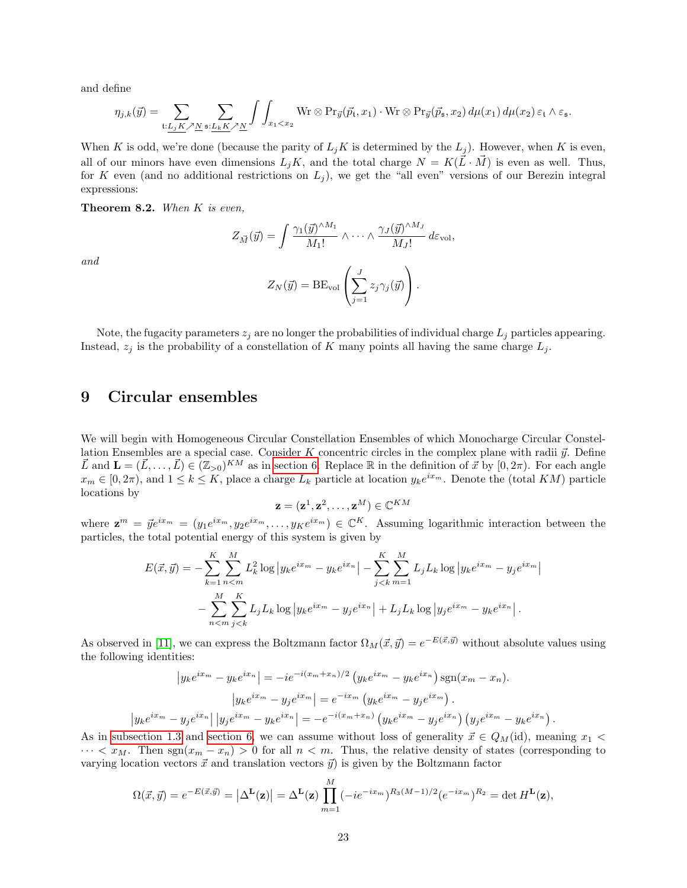and define

and

$$
\eta_{j,k}(\vec{y}) = \sum_{\mathbf{t}: \underline{L_j K} \nearrow \underline{N}} \sum_{\mathbf{s}: \underline{L_k K} \nearrow \underline{N}} \int \int_{x_1 < x_2} \text{Wr} \otimes \text{Pr}_{\vec{y}}(\vec{p_t}, x_1) \cdot \text{Wr} \otimes \text{Pr}_{\vec{y}}(\vec{p_s}, x_2) \, d\mu(x_1) \, d\mu(x_2) \, \varepsilon_{\mathbf{t}} \wedge \varepsilon_{\mathbf{s}}.
$$

When K is odd, we're done (because the parity of  $L_jK$  is determined by the  $L_j$ ). However, when K is even, all of our minors have even dimensions  $L_iK$ , and the total charge  $N = K(\tilde{L} \cdot \tilde{M})$  is even as well. Thus, for K even (and no additional restrictions on  $L_j$ ), we get the "all even" versions of our Berezin integral expressions:

<span id="page-22-1"></span>Theorem 8.2. When K is even,

$$
Z_{\vec{M}}(\vec{y}) = \int \frac{\gamma_1(\vec{y})^{\wedge M_1}}{M_1!} \wedge \cdots \wedge \frac{\gamma_J(\vec{y})^{\wedge M_J}}{M_J!} d\varepsilon_{\text{vol}},
$$

$$
Z_N(\vec{y}) = BE_{\text{vol}}\left(\sum_{j=1}^J z_j \gamma_j(\vec{y})\right).
$$

Note, the fugacity parameters  $z_i$  are no longer the probabilities of individual charge  $L_i$  particles appearing. Instead,  $z_j$  is the probability of a constellation of K many points all having the same charge  $L_j$ .

## <span id="page-22-0"></span>9 Circular ensembles

 $\overline{\phantom{a}}$ 

We will begin with Homogeneous Circular Constellation Ensembles of which Monocharge Circular Constellation Ensembles are a special case. Consider K concentric circles in the complex plane with radii  $\vec{u}$ . Define  $\vec{L}$  and  $\mathbf{L} = (\vec{L}, \dots, \vec{L}) \in (\mathbb{Z}_{>0})^{KM}$  as in [section 6.](#page-14-0) Replace R in the definition of  $\vec{x}$  by  $[0, 2\pi)$ . For each angle  $x_m \in [0, 2\pi)$ , and  $1 \le k \le K$ , place a charge  $L_k$  particle at location  $y_k e^{ix_m}$ . Denote the (total KM) particle locations by

$$
\mathbf{z} = (\mathbf{z}^1, \mathbf{z}^2, \dots, \mathbf{z}^M) \in \mathbb{C}^{KM}
$$

where  $\mathbf{z}^m = \vec{y}e^{ix_m} = (y_1e^{ix_m}, y_2e^{ix_m}, \dots, yKe^{ix_m}) \in \mathbb{C}^K$ . Assuming logarithmic interaction between the particles, the total potential energy of this system is given by

$$
E(\vec{x}, \vec{y}) = -\sum_{k=1}^{K} \sum_{n=m}^{M} L_k^2 \log |y_k e^{ix_m} - y_k e^{ix_n}| - \sum_{j < k}^{K} \sum_{m=1}^{M} L_j L_k \log |y_k e^{ix_m} - y_j e^{ix_m}| - \sum_{n < m}^{M} \sum_{j < k}^{K} L_j L_k \log |y_k e^{ix_n} - y_j e^{ix_n}| + L_j L_k \log |y_j e^{ix_m} - y_k e^{ix_n}|.
$$

As observed in [\[11\]](#page-26-6), we can express the Boltzmann factor  $\Omega_M(\vec{x}, \vec{y}) = e^{-E(\vec{x}, \vec{y})}$  without absolute values using the following identities:

$$
|y_k e^{ix_m} - y_k e^{ix_n}| = -ie^{-i(x_m + x_n)/2} (y_k e^{ix_m} - y_k e^{ix_n}) \operatorname{sgn}(x_m - x_n).
$$

$$
|y_k e^{ix_m} - y_j e^{ix_m}| = e^{-ix_m} (y_k e^{ix_m} - y_j e^{ix_m}).
$$

$$
|y_k e^{ix_m} - y_j e^{ix_n}| |y_j e^{ix_m} - y_k e^{ix_n}| = -e^{-i(x_m + x_n)} (y_k e^{ix_m} - y_j e^{ix_n}) (y_j e^{ix_m} - y_k e^{ix_n}).
$$

As in [subsection 1.3](#page-4-0) and [section 6,](#page-14-0) we can assume without loss of generality  $\vec{x} \in Q_M(\text{id})$ , meaning  $x_1$  $\cdots < x_M$ . Then sgn $(x_m - x_n) > 0$  for all  $n < m$ . Thus, the relative density of states (corresponding to varying location vectors  $\vec{x}$  and translation vectors  $\vec{y}$ ) is given by the Boltzmann factor

$$
\Omega(\vec{x},\vec{y})=e^{-E(\vec{x},\vec{y})}=\left|\Delta^{\mathbf{L}}(\mathbf{z})\right|=\Delta^{\mathbf{L}}(\mathbf{z})\prod_{m=1}^{M}(-ie^{-ix_m})^{R_3(M-1)/2}(e^{-ix_m})^{R_2}=\det H^{\mathbf{L}}(\mathbf{z}),
$$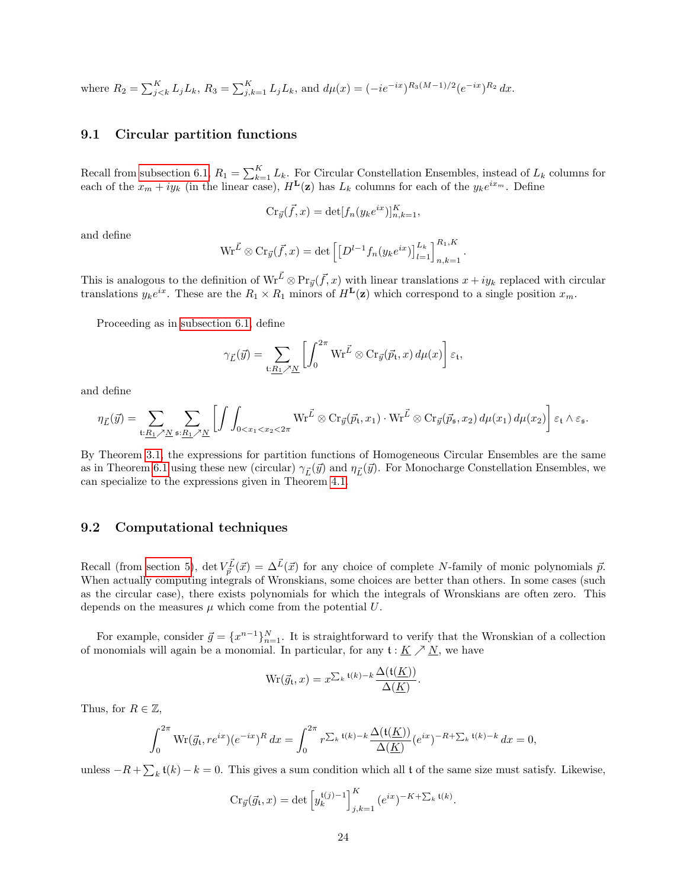where 
$$
R_2 = \sum_{j \le k}^{K} L_j L_k
$$
,  $R_3 = \sum_{j,k=1}^{K} L_j L_k$ , and  $d\mu(x) = (-ie^{-ix})^{R_3(M-1)/2} (e^{-ix})^{R_2} dx$ .

### <span id="page-23-0"></span>9.1 Circular partition functions

Recall from [subsection 6.1,](#page-15-0)  $R_1 = \sum_{k=1}^{K} L_k$ . For Circular Constellation Ensembles, instead of  $L_k$  columns for each of the  $x_m + iy_k$  (in the linear case),  $H^{\mathbf{L}}(\mathbf{z})$  has  $L_k$  columns for each of the  $y_k e^{ix_m}$ . Define

$$
\mathrm{Cr}_{\vec{y}}(\vec{f},x)=\det[f_n(y_ke^{ix})]_{n,k=1}^K,
$$

and define

$$
\text{Wr}^{\vec{L}} \otimes \text{Cr}_{\vec{y}}(\vec{f},x) = \det \left[ \left[ D^{l-1} f_n(y_k e^{ix}) \right]_{l=1}^{L_k} \right]_{n,k=1}^{R_1,K}.
$$

This is analogous to the definition of  $\text{Wr}^{\vec{L}} \otimes \text{Pr}_{\vec{y}}(\vec{f},x)$  with linear translations  $x+iy_k$  replaced with circular translations  $y_k e^{ix}$ . These are the  $R_1 \times R_1$  minors of  $H^{\mathbf{L}}(\mathbf{z})$  which correspond to a single position  $x_m$ .

Proceeding as in [subsection 6.1,](#page-15-0) define

$$
\gamma_{\vec{L}}(\vec{y}) = \sum_{\mathfrak{t}:\underline{R_1} \nearrow \underline{N}} \left[ \int_0^{2\pi} \mathrm{Wr}^{\vec{L}} \otimes \mathrm{Cr}_{\vec{y}}(\vec{p}_{\mathfrak{t}},x) \, d\mu(x) \right] \varepsilon_{\mathfrak{t}},
$$

and define

$$
\eta_{\vec{L}}(\vec{y}) = \sum_{\mathfrak{t}: \underline{R_1} \nearrow \underline{N}} \sum_{\mathfrak{s}: \underline{R_1} \nearrow \underline{N}} \left[ \int \int_{0 < x_1 < x_2 < 2\pi} \mathrm{Wr}^{\vec{L}} \otimes \mathrm{Cr}_{\vec{y}}(\vec{p}_{\mathfrak{t}}, x_1) \cdot \mathrm{Wr}^{\vec{L}} \otimes \mathrm{Cr}_{\vec{y}}(\vec{p}_{\mathfrak{s}}, x_2) d\mu(x_1) d\mu(x_2) \right] \varepsilon_{\mathfrak{t}} \wedge \varepsilon_{\mathfrak{s}}.
$$

By Theorem [3.1,](#page-9-0) the expressions for partition functions of Homogeneous Circular Ensembles are the same as in Theorem [6.1](#page-15-1) using these new (circular)  $\gamma_{\vec{L}}(\vec{y})$  and  $\eta_{\vec{L}}(\vec{y})$ . For Monocharge Constellation Ensembles, we can specialize to the expressions given in Theorem [4.1.](#page-10-1)

### 9.2 Computational techniques

Recall (from [section 5\)](#page-11-0), det  $V_{\vec{p}}^{\vec{L}}(\vec{x}) = \Delta^{\vec{L}}(\vec{x})$  for any choice of complete N-family of monic polynomials  $\vec{p}$ . When actually computing integrals of Wronskians, some choices are better than others. In some cases (such as the circular case), there exists polynomials for which the integrals of Wronskians are often zero. This depends on the measures  $\mu$  which come from the potential  $U$ .

For example, consider  $\vec{g} = \{x^{n-1}\}_{n=1}^N$ . It is straightforward to verify that the Wronskian of a collection of monomials will again be a monomial. In particular, for any  $\mathfrak{t}: K \nearrow N$ , we have

$$
Wr(\vec{g}_t, x) = x^{\sum_{k} t(k) - k} \frac{\Delta(t(\underline{K}))}{\Delta(\underline{K})}.
$$

Thus, for  $R \in \mathbb{Z}$ ,

$$
\int_0^{2\pi} \text{Wr}(\vec{g_t}, re^{ix})(e^{-ix})^R dx = \int_0^{2\pi} r^{\sum_k t(k) - k} \frac{\Delta(t(\underline{K}))}{\Delta(\underline{K})} (e^{ix})^{-R + \sum_k t(k) - k} dx = 0,
$$

unless  $-R + \sum_{k} t(k) - k = 0$ . This gives a sum condition which all t of the same size must satisfy. Likewise,

$$
Cr_{\vec{y}}(\vec{g}_t, x) = \det \left[ y_k^{\mathfrak{t}(j)-1} \right]_{j,k=1}^K (e^{ix})^{-K+\sum_k \mathfrak{t}(k)}.
$$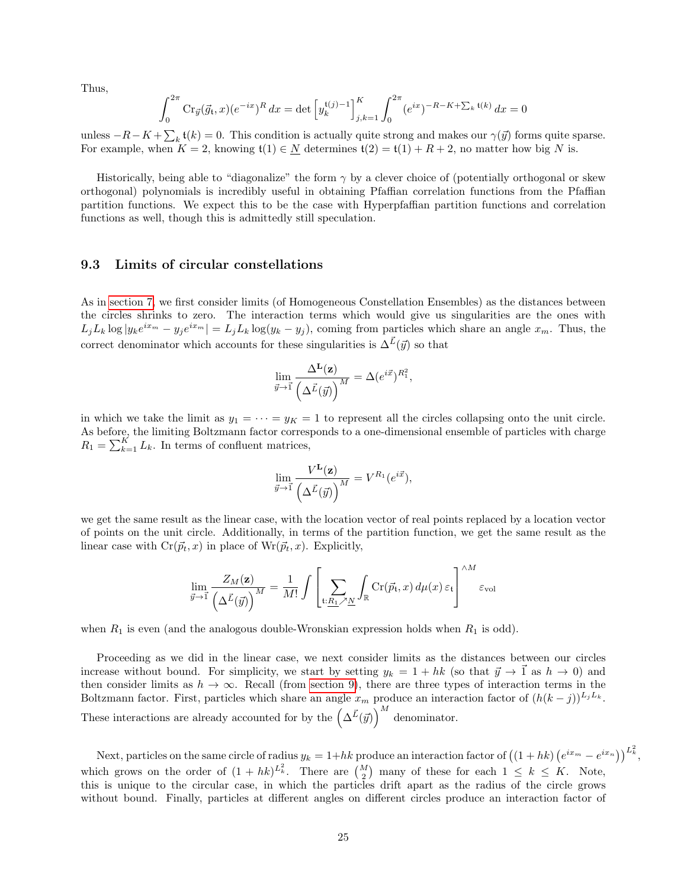Thus,

$$
\int_0^{2\pi} \operatorname{Cr}_{\vec{y}}(\vec{g_t}, x) (e^{-ix})^R dx = \det \left[ y_k^{\mathfrak{t}(j)-1} \right]_{j,k=1}^K \int_0^{2\pi} (e^{ix})^{-R-K+\sum_k \mathfrak{t}(k)} dx = 0
$$

unless  $-R-K+\sum_{k}$  t(k) = 0. This condition is actually quite strong and makes our  $\gamma(\vec{y})$  forms quite sparse. For example, when  $K = 2$ , knowing  $\mathfrak{t}(1) \in N$  determines  $\mathfrak{t}(2) = \mathfrak{t}(1) + R + 2$ , no matter how big N is.

Historically, being able to "diagonalize" the form  $\gamma$  by a clever choice of (potentially orthogonal or skew orthogonal) polynomials is incredibly useful in obtaining Pfaffian correlation functions from the Pfaffian partition functions. We expect this to be the case with Hyperpfaffian partition functions and correlation functions as well, though this is admittedly still speculation.

### 9.3 Limits of circular constellations

As in [section 7,](#page-16-0) we first consider limits (of Homogeneous Constellation Ensembles) as the distances between the circles shrinks to zero. The interaction terms which would give us singularities are the ones with  $L_j L_k \log |y_k e^{ix_m} - y_j e^{ix_m}| = L_j L_k \log(y_k - y_j)$ , coming from particles which share an angle  $x_m$ . Thus, the correct denominator which accounts for these singularities is  $\Delta^{\vec{L}}(\vec{y})$  so that

$$
\lim_{\vec{y}\to\vec{1}}\frac{\Delta^{\bf L}({\bf z})}{\left(\Delta^{\vec{L}}(\vec{y})\right)^M}=\Delta(e^{i\vec{x}})^{R_1^2},
$$

in which we take the limit as  $y_1 = \cdots = y_K = 1$  to represent all the circles collapsing onto the unit circle. As before, the limiting Boltzmann factor corresponds to a one-dimensional ensemble of particles with charge  $R_1 = \sum_{k=1}^{K} L_k$ . In terms of confluent matrices,

$$
\lim_{\vec{y}\to\vec{1}}\frac{V^{\mathbf{L}}(\mathbf{z})}{\left(\Delta^{\vec{L}}(\vec{y})\right)^M}=V^{R_1}(e^{i\vec{x}}),
$$

we get the same result as the linear case, with the location vector of real points replaced by a location vector of points on the unit circle. Additionally, in terms of the partition function, we get the same result as the linear case with  $Cr(\vec{p}_t, x)$  in place of  $Wr(\vec{p}_t, x)$ . Explicitly,

$$
\lim_{\vec{y}\to 1} \frac{Z_M(\mathbf{z})}{\left(\Delta \vec{L}(\vec{y})\right)^M} = \frac{1}{M!} \int \left[ \sum_{\mathbf{t}: \underline{R_1} \nearrow \underline{N}} \int_{\mathbb{R}} \mathrm{Cr}(\vec{p}_{\mathbf{t}}, x) \, d\mu(x) \, \varepsilon_{\mathbf{t}} \right]^{\wedge M} \varepsilon_{\text{vol}}
$$

when  $R_1$  is even (and the analogous double-Wronskian expression holds when  $R_1$  is odd).

Proceeding as we did in the linear case, we next consider limits as the distances between our circles increase without bound. For simplicity, we start by setting  $y_k = 1 + hk$  (so that  $\vec{y} \to \vec{1}$  as  $h \to 0$ ) and then consider limits as  $h \to \infty$ . Recall (from [section 9\)](#page-22-0), there are three types of interaction terms in the Boltzmann factor. First, particles which share an angle  $x_m$  produce an interaction factor of  $(h(k - j))^{L_jL_k}$ . These interactions are already accounted for by the  $\left(\Delta \vec{L}(\vec{y})\right)^M$  denominator.

Next, particles on the same circle of radius  $y_k = 1 + hk$  produce an interaction factor of  $((1 + hk) (e^{ix_m} - e^{ix_n}))^{L_k^2}$ , which grows on the order of  $(1 + hk)^{L_k^2}$ . There are  $\binom{M}{2}$  many of these for each  $1 \leq k \leq K$ . Note, this is unique to the circular case, in which the particles drift apart as the radius of the circle grows without bound. Finally, particles at different angles on different circles produce an interaction factor of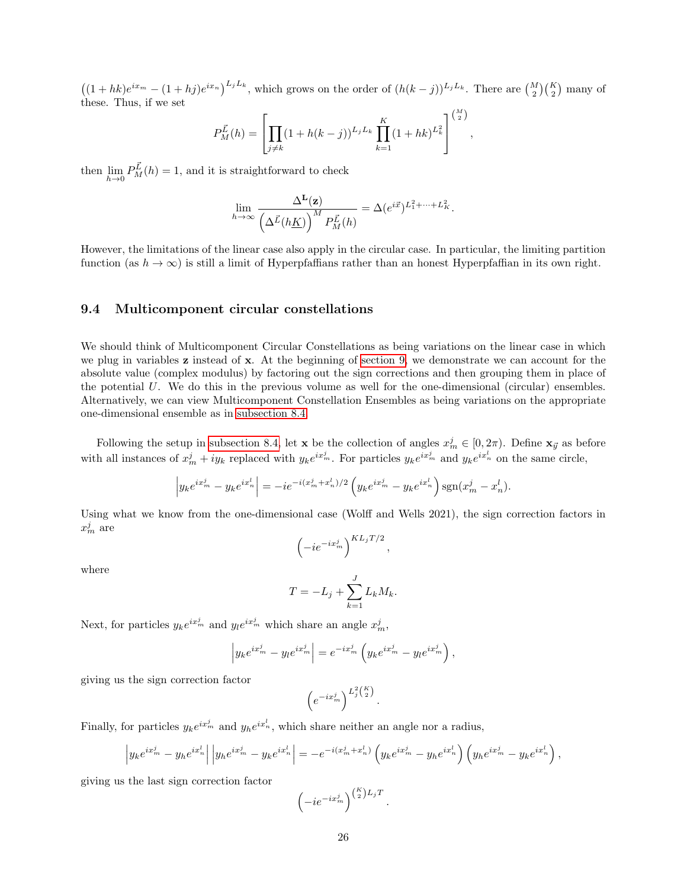$((1+hk)e^{ix_m} - (1+hj)e^{ix_n})^{L_jL_k}$ , which grows on the order of  $(h(k-j))^{L_jL_k}$ . There are  $\binom{M}{2}\binom{K}{2}$  many of these. Thus, if we set

$$
P_M^{\vec{L}}(h) = \left[ \prod_{j \neq k} (1 + h(k - j))^{L_j L_k} \prod_{k=1}^K (1 + hk)^{L_k^2} \right]^{\binom{M}{2}},
$$

then  $\lim_{h\to 0} P_M^{\vec{L}}(h) = 1$ , and it is straightforward to check

$$
\lim_{h\to\infty}\frac{\Delta^{\mathbf{L}}(\mathbf{z})}{\left(\Delta^{\vec{L}}(h\underline{K})\right)^M P_M^{\vec{L}}(h)}=\Delta(e^{i\vec{x}})^{L_1^2+\cdots+L_K^2}.
$$

However, the limitations of the linear case also apply in the circular case. In particular, the limiting partition function (as  $h \to \infty$ ) is still a limit of Hyperpfaffians rather than an honest Hyperpfaffian in its own right.

### 9.4 Multicomponent circular constellations

We should think of Multicomponent Circular Constellations as being variations on the linear case in which we plug in variables  $\bf{z}$  instead of  $\bf{x}$ . At the beginning of [section 9,](#page-22-0) we demonstrate we can account for the absolute value (complex modulus) by factoring out the sign corrections and then grouping them in place of the potential  $U$ . We do this in the previous volume as well for the one-dimensional (circular) ensembles. Alternatively, we can view Multicomponent Constellation Ensembles as being variations on the appropriate one-dimensional ensemble as in [subsection 8.4.](#page-20-1)

Following the setup in [subsection 8.4,](#page-20-1) let **x** be the collection of angles  $x_m^j \in [0, 2\pi)$ . Define  $\mathbf{x}_{\vec{y}}$  as before with all instances of  $x_m^j + iy_k$  replaced with  $y_k e^{ix_m^j}$ . For particles  $y_k e^{ix_m^j}$  and  $y_k e^{ix_n^l}$  on the same circle,

$$
\left| y_k e^{ix_m^j} - y_k e^{ix_n^l} \right| = -ie^{-i(x_m^j + x_n^l)/2} \left( y_k e^{ix_m^j} - y_k e^{ix_n^l} \right) \text{sgn}(x_m^j - x_n^l).
$$

Using what we know from the one-dimensional case (Wolff and Wells 2021), the sign correction factors in  $x_m^j$  are

where

$$
\left(-ie^{-ix_m^j}\right)^{KL_jT/2},\,
$$

$$
T = -L_j + \sum_{k=1}^{J} L_k M_k.
$$

Next, for particles  $y_k e^{ix_m^j}$  and  $y_l e^{ix_m^j}$  which share an angle  $x_m^j$ ,

$$
\left| y_k e^{ix_m^j} - y_l e^{ix_m^j} \right| = e^{-ix_m^j} \left( y_k e^{ix_m^j} - y_l e^{ix_m^j} \right),
$$

giving us the sign correction factor

$$
\left(e^{-ix_m^j}\right)^{L_j^2\binom{K}{2}}.
$$

Finally, for particles  $y_k e^{ix_m^j}$  and  $y_h e^{ix_n^l}$ , which share neither an angle nor a radius,

$$
\left| y_k e^{ix_m^j} - y_h e^{ix_n^l} \right| \left| y_h e^{ix_m^j} - y_k e^{ix_n^l} \right| = -e^{-i(x_m^j + x_n^l)} \left( y_k e^{ix_m^j} - y_h e^{ix_n^l} \right) \left( y_h e^{ix_m^j} - y_k e^{ix_n^l} \right),
$$

giving us the last sign correction factor

$$
\left(-ie^{-ix_m^j}\right)^{\binom{K}{2}L_jT}.
$$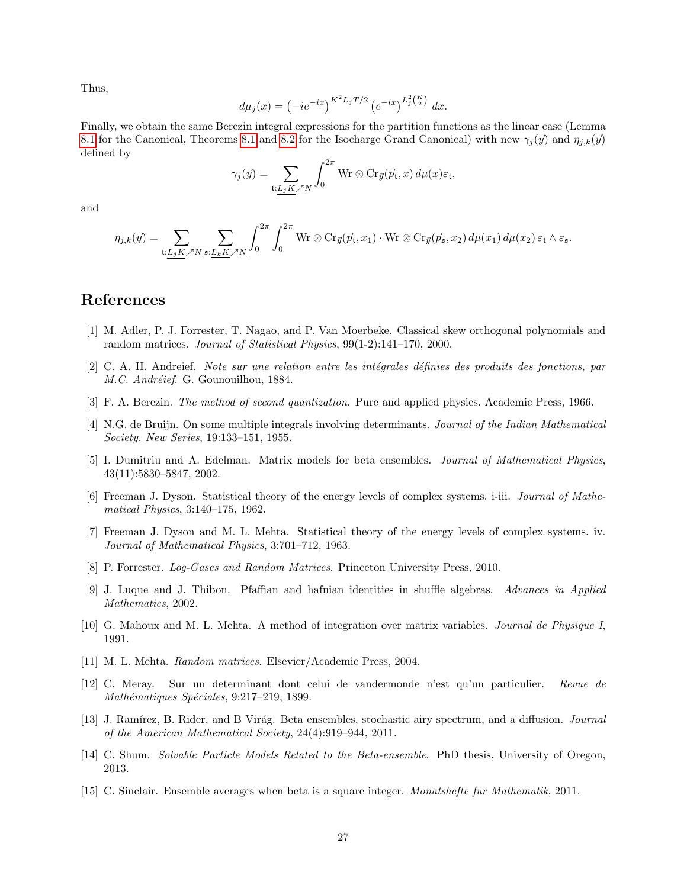Thus,

$$
d\mu_j(x) = \left(-ie^{-ix}\right)^{K^2 L_j T/2} \left(e^{-ix}\right)^{L_j^2(K)} dx.
$$

Finally, we obtain the same Berezin integral expressions for the partition functions as the linear case (Lemma [8.1](#page-18-1) for the Canonical, Theorems [8.1](#page-20-0) and [8.2](#page-22-1) for the Isocharge Grand Canonical) with new  $\gamma_i(\vec{y})$  and  $\eta_{i,k}(\vec{y})$ defined by

$$
\gamma_j(\vec{y}) = \sum_{\mathfrak{t}: L_j K \nearrow \underline{N}} \int_0^{2\pi} \mathrm{Wr} \otimes \mathrm{Cr}_{\vec{y}}(\vec{p}_{\mathfrak{t}}, x) d\mu(x) \varepsilon_{\mathfrak{t}},
$$

and

$$
\eta_{j,k}(\vec{y}) = \sum_{\mathbf{t}: \underline{L_j} \underline{K} \nearrow \underline{N}} \sum_{\mathbf{s}: \underline{L_k} \underline{K} \nearrow \underline{N}} \int_0^{2\pi} \int_0^{2\pi} \mathrm{Wr} \otimes \mathrm{Cr}_{\vec{y}}(\vec{p}_\mathbf{t}, x_1) \cdot \mathrm{Wr} \otimes \mathrm{Cr}_{\vec{y}}(\vec{p}_\mathbf{s}, x_2) \, d\mu(x_1) \, d\mu(x_2) \, \varepsilon_\mathbf{t} \wedge \varepsilon_\mathbf{s}.
$$

## References

- <span id="page-26-8"></span>[1] M. Adler, P. J. Forrester, T. Nagao, and P. Van Moerbeke. Classical skew orthogonal polynomials and random matrices. Journal of Statistical Physics, 99(1-2):141–170, 2000.
- <span id="page-26-9"></span>[2] C. A. H. Andreief. Note sur une relation entre les intégrales définies des produits des fonctions, par M.C. Andréief. G. Gounouilhou, 1884.
- <span id="page-26-13"></span>[3] F. A. Berezin. The method of second quantization. Pure and applied physics. Academic Press, 1966.
- <span id="page-26-0"></span>[4] N.G. de Bruijn. On some multiple integrals involving determinants. Journal of the Indian Mathematical Society. New Series, 19:133–151, 1955.
- <span id="page-26-4"></span>[5] I. Dumitriu and A. Edelman. Matrix models for beta ensembles. Journal of Mathematical Physics, 43(11):5830–5847, 2002.
- <span id="page-26-1"></span>[6] Freeman J. Dyson. Statistical theory of the energy levels of complex systems. i-iii. Journal of Mathematical Physics, 3:140–175, 1962.
- <span id="page-26-3"></span>[7] Freeman J. Dyson and M. L. Mehta. Statistical theory of the energy levels of complex systems. iv. Journal of Mathematical Physics, 3:701–712, 1963.
- <span id="page-26-2"></span>[8] P. Forrester. Log-Gases and Random Matrices. Princeton University Press, 2010.
- <span id="page-26-10"></span>[9] J. Luque and J. Thibon. Pfaffian and hafnian identities in shuffle algebras. Advances in Applied Mathematics, 2002.
- <span id="page-26-7"></span>[10] G. Mahoux and M. L. Mehta. A method of integration over matrix variables. Journal de Physique I, 1991.
- <span id="page-26-6"></span>[11] M. L. Mehta. Random matrices. Elsevier/Academic Press, 2004.
- <span id="page-26-14"></span>[12] C. Meray. Sur un determinant dont celui de vandermonde n'est qu'un particulier. Revue de Mathématiques Spéciales, 9:217-219, 1899.
- <span id="page-26-5"></span>[13] J. Ramírez, B. Rider, and B Virág. Beta ensembles, stochastic airy spectrum, and a diffusion. Journal of the American Mathematical Society, 24(4):919–944, 2011.
- <span id="page-26-12"></span>[14] C. Shum. Solvable Particle Models Related to the Beta-ensemble. PhD thesis, University of Oregon, 2013.
- <span id="page-26-11"></span>[15] C. Sinclair. Ensemble averages when beta is a square integer. Monatshefte fur Mathematik, 2011.